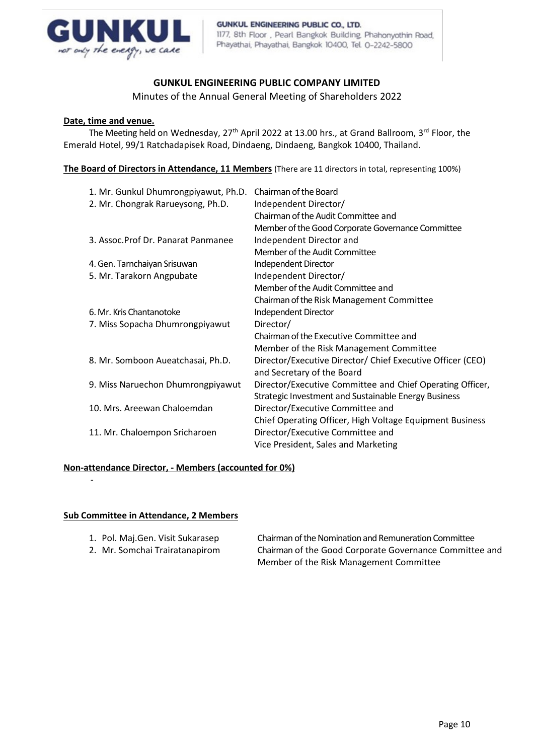

# **GUNKUL ENGINEERING PUBLIC COMPANY LIMITED**

Minutes of the Annual General Meeting of Shareholders 2022

#### **Date, time and venue.**

The Meeting held on Wednesday, 27<sup>th</sup> April 2022 at 13.00 hrs., at Grand Ballroom, 3<sup>rd</sup> Floor, the Emerald Hotel, 99/1 Ratchadapisek Road, Dindaeng, Dindaeng, Bangkok 10400, Thailand.

**The Board of Directors in Attendance, 11 Members** (There are 11 directors in total, representing 100%)

| 1. Mr. Gunkul Dhumrongpiyawut, Ph.D. | Chairman of the Board                                      |
|--------------------------------------|------------------------------------------------------------|
| 2. Mr. Chongrak Rarueysong, Ph.D.    | Independent Director/                                      |
|                                      | Chairman of the Audit Committee and                        |
|                                      | Member of the Good Corporate Governance Committee          |
| 3. Assoc. Prof Dr. Panarat Panmanee  | Independent Director and                                   |
|                                      | Member of the Audit Committee                              |
| 4. Gen. Tarnchaiyan Srisuwan         | Independent Director                                       |
| 5. Mr. Tarakorn Angpubate            | Independent Director/                                      |
|                                      | Member of the Audit Committee and                          |
|                                      | Chairman of the Risk Management Committee                  |
| 6. Mr. Kris Chantanotoke             | Independent Director                                       |
| 7. Miss Sopacha Dhumrongpiyawut      | Director/                                                  |
|                                      | Chairman of the Executive Committee and                    |
|                                      | Member of the Risk Management Committee                    |
| 8. Mr. Somboon Aueatchasai, Ph.D.    | Director/Executive Director/ Chief Executive Officer (CEO) |
|                                      | and Secretary of the Board                                 |
| 9. Miss Naruechon Dhumrongpiyawut    | Director/Executive Committee and Chief Operating Officer,  |
|                                      | Strategic Investment and Sustainable Energy Business       |
| 10. Mrs. Areewan Chaloemdan          | Director/Executive Committee and                           |
|                                      | Chief Operating Officer, High Voltage Equipment Business   |
| 11. Mr. Chaloempon Sricharoen        | Director/Executive Committee and                           |
|                                      | Vice President, Sales and Marketing                        |

## **Non-attendance Director, - Members (accounted for 0%)**

#### **Sub Committee in Attendance, 2 Members**

-

- 
- 

1. Pol. Maj.Gen. Visit Sukarasep Chairman of the Nomination and Remuneration Committee 2. Mr. Somchai Trairatanapirom Chairman of the Good Corporate Governance Committee and Member of the Risk Management Committee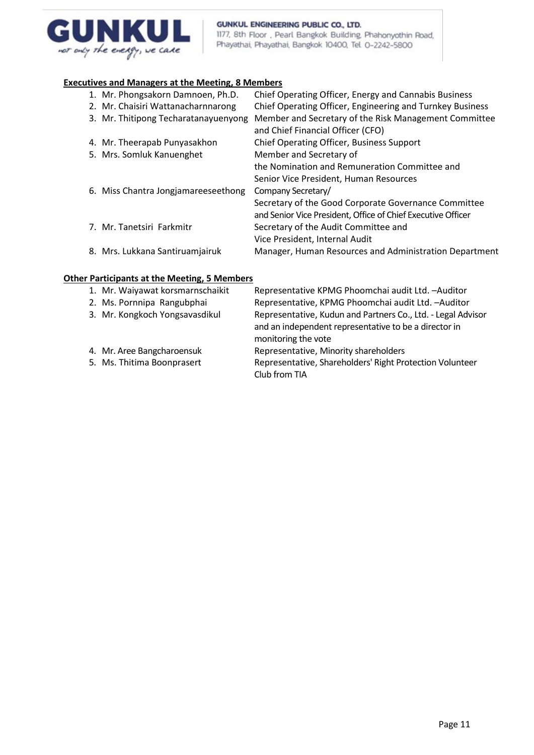

#### GUNKUL ENGINEERING PUBLIC CO., LTD. 1177, 8th Floor, Pearl Bangkok Building, Phahonyothin Road, Phayathai, Phayathai, Bangkok 10400, Tel. 0-2242-5800

## **Executives and Managers at the Meeting, 8 Members**

| 1. Mr. Phongsakorn Damnoen, Ph.D.    | Chief Operating Officer, Energy and Cannabis Business        |
|--------------------------------------|--------------------------------------------------------------|
| 2. Mr. Chaisiri Wattanacharnnarong   | Chief Operating Officer, Engineering and Turnkey Business    |
| 3. Mr. Thitipong Techaratanayuenyong | Member and Secretary of the Risk Management Committee        |
|                                      | and Chief Financial Officer (CFO)                            |
| 4. Mr. Theerapab Punyasakhon         | Chief Operating Officer, Business Support                    |
| 5. Mrs. Somluk Kanuenghet            | Member and Secretary of                                      |
|                                      | the Nomination and Remuneration Committee and                |
|                                      | Senior Vice President, Human Resources                       |
| 6. Miss Chantra Jongjamareeseethong  | Company Secretary/                                           |
|                                      | Secretary of the Good Corporate Governance Committee         |
|                                      | and Senior Vice President, Office of Chief Executive Officer |
| 7. Mr. Tanetsiri Farkmitr            | Secretary of the Audit Committee and                         |
|                                      | Vice President, Internal Audit                               |
| 8. Mrs. Lukkana Santiruamjairuk      | Manager, Human Resources and Administration Department       |
|                                      |                                                              |

# **Other Participants at the Meeting, 5 Members**

| <b>Target Banks at the Inceding, Sinch Bels</b> |                                                                                                                                              |
|-------------------------------------------------|----------------------------------------------------------------------------------------------------------------------------------------------|
| 1. Mr. Waiyawat korsmarnschaikit                | Representative KPMG Phoomchai audit Ltd. - Auditor                                                                                           |
| 2. Ms. Pornnipa Rangubphai                      | Representative, KPMG Phoomchai audit Ltd. - Auditor                                                                                          |
| 3. Mr. Kongkoch Yongsavasdikul                  | Representative, Kudun and Partners Co., Ltd. - Legal Advisor<br>and an independent representative to be a director in<br>monitoring the vote |
| 4. Mr. Aree Bangcharoensuk                      | Representative, Minority shareholders                                                                                                        |
| 5. Ms. Thitima Boonprasert                      | Representative, Shareholders' Right Protection Volunteer<br>Club from TIA                                                                    |
|                                                 |                                                                                                                                              |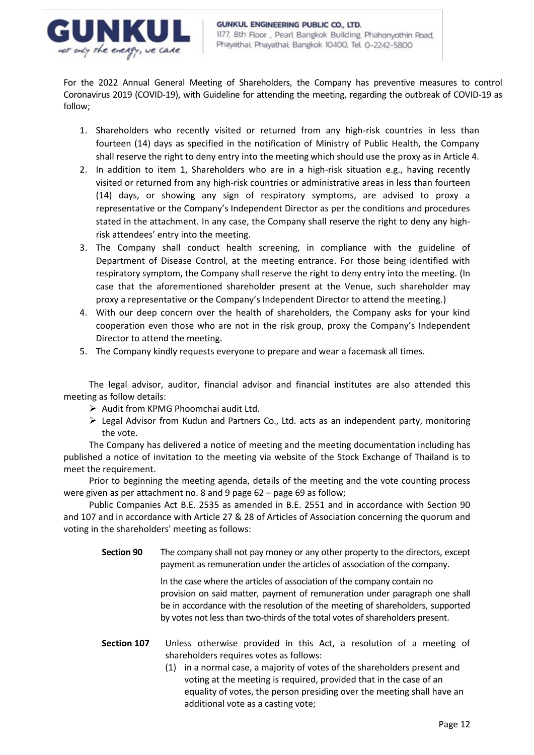

For the 2022 Annual General Meeting of Shareholders, the Company has preventive measures to control Coronavirus 2019 (COVID-19), with Guideline for attending the meeting, regarding the outbreak of COVID-19 as follow;

- 1. Shareholders who recently visited or returned from any high-risk countries in less than fourteen (14) days as specified in the notification of Ministry of Public Health, the Company shall reserve the right to deny entry into the meeting which should use the proxy as in Article 4.
- 2. In addition to item 1, Shareholders who are in a high-risk situation e.g., having recently visited or returned from any high-risk countries or administrative areas in less than fourteen (14) days, or showing any sign of respiratory symptoms, are advised to proxy a representative or the Company's Independent Director as per the conditions and procedures stated in the attachment. In any case, the Company shall reserve the right to deny any highrisk attendees' entry into the meeting.
- 3. The Company shall conduct health screening, in compliance with the guideline of Department of Disease Control, at the meeting entrance. For those being identified with respiratory symptom, the Company shall reserve the right to deny entry into the meeting. (In case that the aforementioned shareholder present at the Venue, such shareholder may proxy a representative or the Company's Independent Director to attend the meeting.)
- 4. With our deep concern over the health of shareholders, the Company asks for your kind cooperation even those who are not in the risk group, proxy the Company's Independent Director to attend the meeting.
- 5. The Company kindly requests everyone to prepare and wear a facemask all times.

The legal advisor, auditor, financial advisor and financial institutes are also attended this meeting as follow details:

- ➢ Audit from KPMG Phoomchai audit Ltd.
- ➢ Legal Advisor from Kudun and Partners Co., Ltd. acts as an independent party, monitoring the vote.

The Company has delivered a notice of meeting and the meeting documentation including has published a notice of invitation to the meeting via website of the Stock Exchange of Thailand is to meet the requirement.

Prior to beginning the meeting agenda, details of the meeting and the vote counting process were given as per attachment no. 8 and 9 page 62 – page 69 as follow;

Public Companies Act B.E. 2535 as amended in B.E. 2551 and in accordance with Section 90 and 107 and in accordance with Article 27 & 28 of Articles of Association concerning the quorum and voting in the shareholders' meeting as follows:

**Section 90** The company shall not pay money or any other property to the directors, except payment as remuneration under the articles of association of the company.

> In the case where the articles of association of the company contain no provision on said matter, payment of remuneration under paragraph one shall be in accordance with the resolution of the meeting of shareholders, supported by votes not less than two-thirds of the total votes of shareholders present.

- **Section 107** Unless otherwise provided in this Act, a resolution of a meeting of shareholders requires votes as follows:
	- (1) in a normal case, a majority of votes of the shareholders present and voting at the meeting is required, provided that in the case of an equality of votes, the person presiding over the meeting shall have an additional vote as a casting vote;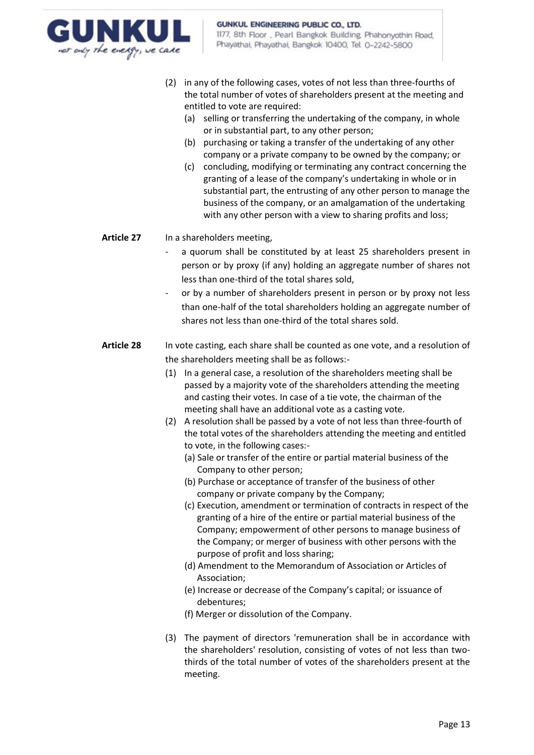

- (2) in any of the following cases, votes of not less than three-fourths of the total number of votes of shareholders present at the meeting and entitled to vote are required:
	- (a) selling or transferring the undertaking of the company, in whole or in substantial part, to any other person;
	- (b) purchasing or taking a transfer of the undertaking of any other company or a private company to be owned by the company; or
	- (c) concluding, modifying or terminating any contract concerning the granting of a lease of the company's undertaking in whole or in substantial part, the entrusting of any other person to manage the business of the company, or an amalgamation of the undertaking with any other person with a view to sharing profits and loss;

## **Article 27** In a shareholders meeting,

- a quorum shall be constituted by at least 25 shareholders present in person or by proxy (if any) holding an aggregate number of shares not less than one-third of the total shares sold,
- or by a number of shareholders present in person or by proxy not less than one-half of the total shareholders holding an aggregate number of shares not less than one-third of the total shares sold.
- **Article 28** In vote casting, each share shall be counted as one vote, and a resolution of the shareholders meeting shall be as follows:-
	- (1) In a general case, a resolution of the shareholders meeting shall be passed by a majority vote of the shareholders attending the meeting and casting their votes. In case of a tie vote, the chairman of the meeting shall have an additional vote as a casting vote.
	- (2) A resolution shall be passed by a vote of not less than three-fourth of the total votes of the shareholders attending the meeting and entitled to vote, in the following cases:-
		- (a) Sale or transfer of the entire or partial material business of the Company to other person;
		- (b) Purchase or acceptance of transfer of the business of other company or private company by the Company;
		- (c) Execution, amendment or termination of contracts in respect of the granting of a hire of the entire or partial material business of the Company; empowerment of other persons to manage business of the Company; or merger of business with other persons with the purpose of profit and loss sharing;
		- (d) Amendment to the Memorandum of Association or Articles of Association;
		- (e) Increase or decrease of the Company's capital; or issuance of debentures;
		- (f) Merger or dissolution of the Company.
	- (3) The payment of directors 'remuneration shall be in accordance with the shareholders' resolution, consisting of votes of not less than twothirds of the total number of votes of the shareholders present at the meeting.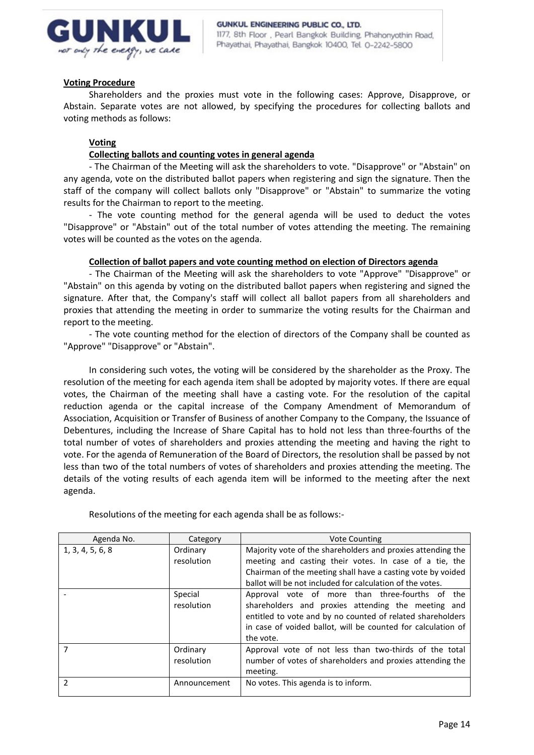

#### **Voting Procedure**

Shareholders and the proxies must vote in the following cases: Approve, Disapprove, or Abstain. Separate votes are not allowed, by specifying the procedures for collecting ballots and voting methods as follows:

## **Voting**

## **Collecting ballots and counting votes in general agenda**

- The Chairman of the Meeting will ask the shareholders to vote. "Disapprove" or "Abstain" on any agenda, vote on the distributed ballot papers when registering and sign the signature. Then the staff of the company will collect ballots only "Disapprove" or "Abstain" to summarize the voting results for the Chairman to report to the meeting.

- The vote counting method for the general agenda will be used to deduct the votes "Disapprove" or "Abstain" out of the total number of votes attending the meeting. The remaining votes will be counted as the votes on the agenda.

## **Collection of ballot papers and vote counting method on election of Directors agenda**

- The Chairman of the Meeting will ask the shareholders to vote "Approve" "Disapprove" or "Abstain" on this agenda by voting on the distributed ballot papers when registering and signed the signature. After that, the Company's staff will collect all ballot papers from all shareholders and proxies that attending the meeting in order to summarize the voting results for the Chairman and report to the meeting.

- The vote counting method for the election of directors of the Company shall be counted as "Approve" "Disapprove" or "Abstain".

In considering such votes, the voting will be considered by the shareholder as the Proxy. The resolution of the meeting for each agenda item shall be adopted by majority votes. If there are equal votes, the Chairman of the meeting shall have a casting vote. For the resolution of the capital reduction agenda or the capital increase of the Company Amendment of Memorandum of Association, Acquisition or Transfer of Business of another Company to the Company, the Issuance of Debentures, including the Increase of Share Capital has to hold not less than three-fourths of the total number of votes of shareholders and proxies attending the meeting and having the right to vote. For the agenda of Remuneration of the Board of Directors, the resolution shall be passed by not less than two of the total numbers of votes of shareholders and proxies attending the meeting. The details of the voting results of each agenda item will be informed to the meeting after the next agenda.

| Agenda No.       | Category               | <b>Vote Counting</b>                                                                                                                                                                                                                              |  |  |  |
|------------------|------------------------|---------------------------------------------------------------------------------------------------------------------------------------------------------------------------------------------------------------------------------------------------|--|--|--|
| 1, 3, 4, 5, 6, 8 | Ordinary<br>resolution | Majority vote of the shareholders and proxies attending the<br>meeting and casting their votes. In case of a tie, the<br>Chairman of the meeting shall have a casting vote by voided<br>ballot will be not included for calculation of the votes. |  |  |  |
|                  | Special<br>resolution  | Approval vote of more than three-fourths of the<br>shareholders and proxies attending the meeting and<br>entitled to vote and by no counted of related shareholders<br>in case of voided ballot, will be counted for calculation of<br>the vote.  |  |  |  |
|                  | Ordinary<br>resolution | Approval vote of not less than two-thirds of the total<br>number of votes of shareholders and proxies attending the<br>meeting.                                                                                                                   |  |  |  |
| $\mathfrak z$    | Announcement           | No votes. This agenda is to inform.                                                                                                                                                                                                               |  |  |  |

Resolutions of the meeting for each agenda shall be as follows:-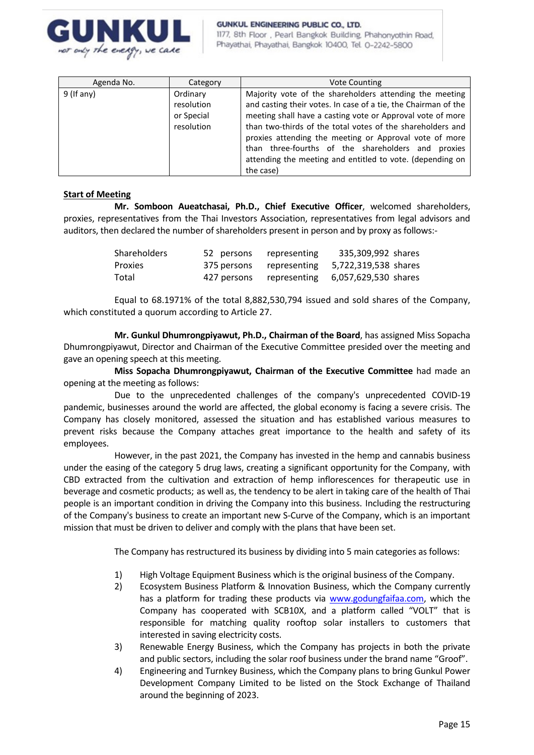

| Agenda No.   | Category                                           | <b>Vote Counting</b>                                                                                                                                                                                                                                                                                                                                                                                                                            |
|--------------|----------------------------------------------------|-------------------------------------------------------------------------------------------------------------------------------------------------------------------------------------------------------------------------------------------------------------------------------------------------------------------------------------------------------------------------------------------------------------------------------------------------|
| $9$ (If any) | Ordinary<br>resolution<br>or Special<br>resolution | Majority vote of the shareholders attending the meeting<br>and casting their votes. In case of a tie, the Chairman of the<br>meeting shall have a casting vote or Approval vote of more<br>than two-thirds of the total votes of the shareholders and<br>proxies attending the meeting or Approval vote of more<br>than three-fourths of the shareholders and proxies<br>attending the meeting and entitled to vote. (depending on<br>the case) |

## **Start of Meeting**

**Mr. Somboon Aueatchasai, Ph.D., Chief Executive Officer**, welcomed shareholders, proxies, representatives from the Thai Investors Association, representatives from legal advisors and auditors, then declared the number of shareholders present in person and by proxy as follows:-

| <b>Shareholders</b> | 52 persons  | representing             | 335,309,992 shares   |
|---------------------|-------------|--------------------------|----------------------|
| <b>Proxies</b>      |             | 375 persons representing | 5,722,319,538 shares |
| Total               | 427 persons | representing             | 6,057,629,530 shares |

Equal to 68.1971% of the total 8,882,530,794 issued and sold shares of the Company, which constituted a quorum according to Article 27.

**Mr. Gunkul Dhumrongpiyawut, Ph.D., Chairman of the Board**, has assigned Miss Sopacha Dhumrongpiyawut, Director and Chairman of the Executive Committee presided over the meeting and gave an opening speech at this meeting.

**Miss Sopacha Dhumrongpiyawut, Chairman of the Executive Committee** had made an opening at the meeting as follows:

Due to the unprecedented challenges of the company's unprecedented COVID-19 pandemic, businesses around the world are affected, the global economy is facing a severe crisis. The Company has closely monitored, assessed the situation and has established various measures to prevent risks because the Company attaches great importance to the health and safety of its employees.

However, in the past 2021, the Company has invested in the hemp and cannabis business under the easing of the category 5 drug laws, creating a significant opportunity for the Company, with CBD extracted from the cultivation and extraction of hemp inflorescences for therapeutic use in beverage and cosmetic products; as well as, the tendency to be alert in taking care of the health of Thai people is an important condition in driving the Company into this business. Including the restructuring of the Company's business to create an important new S-Curve of the Company, which is an important mission that must be driven to deliver and comply with the plans that have been set.

The Company has restructured its business by dividing into 5 main categories as follows:

- 1) High Voltage Equipment Business which is the original business of the Company.
- 2) Ecosystem Business Platform & Innovation Business, which the Company currently has a platform for trading these products via [www.godungfaifaa.com,](http://www.godungfaifaa.com/) which the Company has cooperated with SCB10X, and a platform called "VOLT" that is responsible for matching quality rooftop solar installers to customers that interested in saving electricity costs.
- 3) Renewable Energy Business, which the Company has projects in both the private and public sectors, including the solar roof business under the brand name "Groof".
- 4) Engineering and Turnkey Business, which the Company plans to bring Gunkul Power Development Company Limited to be listed on the Stock Exchange of Thailand around the beginning of 2023.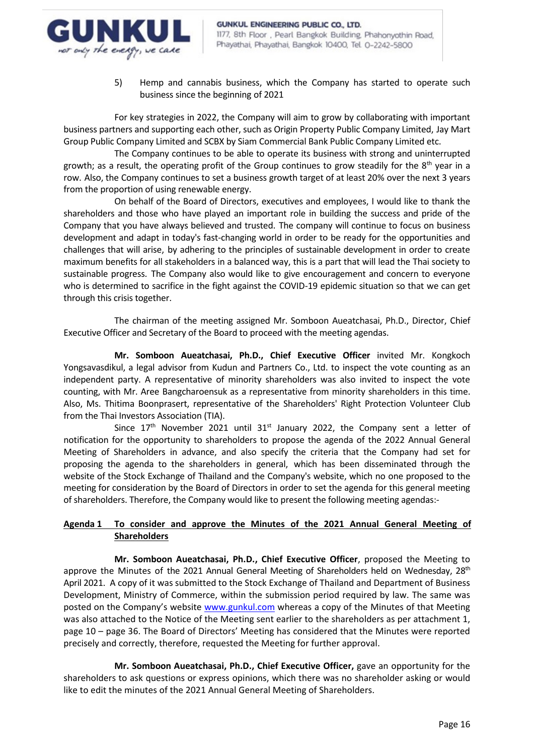

5) Hemp and cannabis business, which the Company has started to operate such business since the beginning of 2021

For key strategies in 2022, the Company will aim to grow by collaborating with important business partners and supporting each other, such as Origin Property Public Company Limited, Jay Mart Group Public Company Limited and SCBX by Siam Commercial Bank Public Company Limited etc.

The Company continues to be able to operate its business with strong and uninterrupted growth; as a result, the operating profit of the Group continues to grow steadily for the  $8<sup>th</sup>$  year in a row. Also, the Company continues to set a business growth target of at least 20% over the next 3 years from the proportion of using renewable energy.

On behalf of the Board of Directors, executives and employees, I would like to thank the shareholders and those who have played an important role in building the success and pride of the Company that you have always believed and trusted. The company will continue to focus on business development and adapt in today's fast-changing world in order to be ready for the opportunities and challenges that will arise, by adhering to the principles of sustainable development in order to create maximum benefits for all stakeholders in a balanced way, this is a part that will lead the Thai society to sustainable progress. The Company also would like to give encouragement and concern to everyone who is determined to sacrifice in the fight against the COVID-19 epidemic situation so that we can get through this crisis together.

The chairman of the meeting assigned Mr. Somboon Aueatchasai, Ph.D., Director, Chief Executive Officer and Secretary of the Board to proceed with the meeting agendas.

**Mr. Somboon Aueatchasai, Ph.D., Chief Executive Officer** invited Mr. Kongkoch Yongsavasdikul, a legal advisor from Kudun and Partners Co., Ltd. to inspect the vote counting as an independent party. A representative of minority shareholders was also invited to inspect the vote counting, with Mr. Aree Bangcharoensuk as a representative from minority shareholders in this time. Also, Ms. Thitima Boonprasert, representative of the Shareholders' Right Protection Volunteer Club from the Thai Investors Association (TIA).

Since  $17<sup>th</sup>$  November 2021 until  $31<sup>st</sup>$  January 2022, the Company sent a letter of notification for the opportunity to shareholders to propose the agenda of the 2022 Annual General Meeting of Shareholders in advance, and also specify the criteria that the Company had set for proposing the agenda to the shareholders in general, which has been disseminated through the website of the Stock Exchange of Thailand and the Company's website, which no one proposed to the meeting for consideration by the Board of Directors in order to set the agenda for this general meeting of shareholders. Therefore, the Company would like to present the following meeting agendas:-

# **Agenda 1 To consider and approve the Minutes of the 2021 Annual General Meeting of Shareholders**

**Mr. Somboon Aueatchasai, Ph.D., Chief Executive Officer**, proposed the Meeting to approve the Minutes of the 2021 Annual General Meeting of Shareholders held on Wednesday, 28<sup>th</sup> April 2021. A copy of it was submitted to the Stock Exchange of Thailand and Department of Business Development, Ministry of Commerce, within the submission period required by law. The same was posted on the Company's website [www.gunkul.com](http://www.gunkul.com/) whereas a copy of the Minutes of that Meeting was also attached to the Notice of the Meeting sent earlier to the shareholders as per attachment 1, page 10 – page 36. The Board of Directors' Meeting has considered that the Minutes were reported precisely and correctly, therefore, requested the Meeting for further approval.

**Mr. Somboon Aueatchasai, Ph.D., Chief Executive Officer,** gave an opportunity for the shareholders to ask questions or express opinions, which there was no shareholder asking or would like to edit the minutes of the 2021 Annual General Meeting of Shareholders.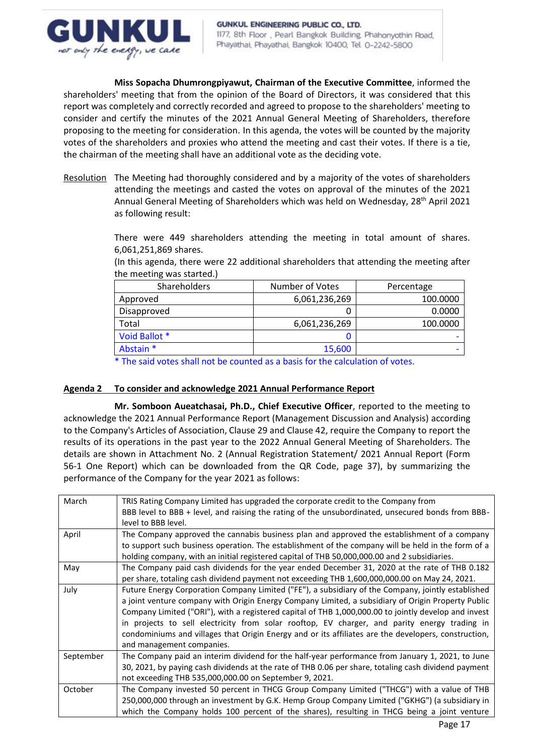

**Miss Sopacha Dhumrongpiyawut, Chairman of the Executive Committee**, informed the shareholders' meeting that from the opinion of the Board of Directors, it was considered that this report was completely and correctly recorded and agreed to propose to the shareholders' meeting to consider and certify the minutes of the 2021 Annual General Meeting of Shareholders, therefore proposing to the meeting for consideration. In this agenda, the votes will be counted by the majority votes of the shareholders and proxies who attend the meeting and cast their votes. If there is a tie, the chairman of the meeting shall have an additional vote as the deciding vote.

Resolution The Meeting had thoroughly considered and by a majority of the votes of shareholders attending the meetings and casted the votes on approval of the minutes of the 2021 Annual General Meeting of Shareholders which was held on Wednesday, 28<sup>th</sup> April 2021 as following result:

> There were 449 shareholders attending the meeting in total amount of shares. 6,061,251,869 shares.

> (In this agenda, there were 22 additional shareholders that attending the meeting after the meeting was started.)

| <b>Shareholders</b> | Number of Votes | Percentage |
|---------------------|-----------------|------------|
| Approved            | 6,061,236,269   | 100.0000   |
| Disapproved         |                 | 0.0000     |
| Total               | 6,061,236,269   | 100.0000   |
| Void Ballot *       |                 |            |
| Abstain *           | 15,600          |            |

\* The said votes shall not be counted as a basis for the calculation of votes.

# **Agenda 2 To consider and acknowledge 2021 Annual Performance Report**

**Mr. Somboon Aueatchasai, Ph.D., Chief Executive Officer**, reported to the meeting to acknowledge the 2021 Annual Performance Report (Management Discussion and Analysis) according to the Company's Articles of Association, Clause 29 and Clause 42, require the Company to report the results of its operations in the past year to the 2022 Annual General Meeting of Shareholders. The details are shown in Attachment No. 2 (Annual Registration Statement/ 2021 Annual Report (Form 56-1 One Report) which can be downloaded from the QR Code, page 37), by summarizing the performance of the Company for the year 2021 as follows:

| March     | TRIS Rating Company Limited has upgraded the corporate credit to the Company from                    |
|-----------|------------------------------------------------------------------------------------------------------|
|           | BBB level to BBB + level, and raising the rating of the unsubordinated, unsecured bonds from BBB-    |
|           | level to BBB level.                                                                                  |
| April     | The Company approved the cannabis business plan and approved the establishment of a company          |
|           | to support such business operation. The establishment of the company will be held in the form of a   |
|           | holding company, with an initial registered capital of THB 50,000,000.00 and 2 subsidiaries.         |
| May       | The Company paid cash dividends for the year ended December 31, 2020 at the rate of THB 0.182        |
|           | per share, totaling cash dividend payment not exceeding THB 1,600,000,000.00 on May 24, 2021.        |
| July      | Future Energy Corporation Company Limited ("FE"), a subsidiary of the Company, jointly established   |
|           | a joint venture company with Origin Energy Company Limited, a subsidiary of Origin Property Public   |
|           | Company Limited ("ORI"), with a registered capital of THB 1,000,000.00 to jointly develop and invest |
|           | in projects to sell electricity from solar rooftop, EV charger, and parity energy trading in         |
|           | condominiums and villages that Origin Energy and or its affiliates are the developers, construction, |
|           | and management companies.                                                                            |
| September | The Company paid an interim dividend for the half-year performance from January 1, 2021, to June     |
|           | 30, 2021, by paying cash dividends at the rate of THB 0.06 per share, totaling cash dividend payment |
|           | not exceeding THB 535,000,000.00 on September 9, 2021.                                               |
| October   | The Company invested 50 percent in THCG Group Company Limited ("THCG") with a value of THB           |
|           | 250,000,000 through an investment by G.K. Hemp Group Company Limited ("GKHG") (a subsidiary in       |
|           | which the Company holds 100 percent of the shares), resulting in THCG being a joint venture          |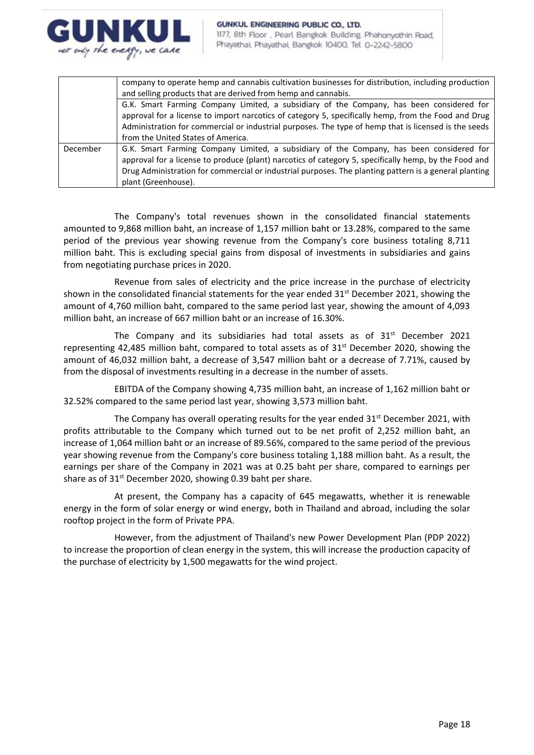

|          | company to operate hemp and cannabis cultivation businesses for distribution, including production<br>and selling products that are derived from hemp and cannabis.                                                                                                                                                               |
|----------|-----------------------------------------------------------------------------------------------------------------------------------------------------------------------------------------------------------------------------------------------------------------------------------------------------------------------------------|
|          | G.K. Smart Farming Company Limited, a subsidiary of the Company, has been considered for<br>approval for a license to import narcotics of category 5, specifically hemp, from the Food and Drug<br>Administration for commercial or industrial purposes. The type of hemp that is licensed is the seeds                           |
|          | from the United States of America.                                                                                                                                                                                                                                                                                                |
| December | G.K. Smart Farming Company Limited, a subsidiary of the Company, has been considered for<br>approval for a license to produce (plant) narcotics of category 5, specifically hemp, by the Food and<br>Drug Administration for commercial or industrial purposes. The planting pattern is a general planting<br>plant (Greenhouse). |

The Company's total revenues shown in the consolidated financial statements amounted to 9,868 million baht, an increase of 1,157 million baht or 13.28%, compared to the same period of the previous year showing revenue from the Company's core business totaling 8,711 million baht. This is excluding special gains from disposal of investments in subsidiaries and gains from negotiating purchase prices in 2020.

Revenue from sales of electricity and the price increase in the purchase of electricity shown in the consolidated financial statements for the year ended  $31<sup>st</sup>$  December 2021, showing the amount of 4,760 million baht, compared to the same period last year, showing the amount of 4,093 million baht, an increase of 667 million baht or an increase of 16.30%.

The Company and its subsidiaries had total assets as of  $31<sup>st</sup>$  December 2021 representing 42,485 million baht, compared to total assets as of 31<sup>st</sup> December 2020, showing the amount of 46,032 million baht, a decrease of 3,547 million baht or a decrease of 7.71%, caused by from the disposal of investments resulting in a decrease in the number of assets.

EBITDA of the Company showing 4,735 million baht, an increase of 1,162 million baht or 32.52% compared to the same period last year, showing 3,573 million baht.

The Company has overall operating results for the year ended  $31<sup>st</sup>$  December 2021, with profits attributable to the Company which turned out to be net profit of 2,252 million baht, an increase of 1,064 million baht or an increase of 89.56%, compared to the same period of the previous year showing revenue from the Company's core business totaling 1,188 million baht. As a result, the earnings per share of the Company in 2021 was at 0.25 baht per share, compared to earnings per share as of 31<sup>st</sup> December 2020, showing 0.39 baht per share.

At present, the Company has a capacity of 645 megawatts, whether it is renewable energy in the form of solar energy or wind energy, both in Thailand and abroad, including the solar rooftop project in the form of Private PPA.

However, from the adjustment of Thailand's new Power Development Plan (PDP 2022) to increase the proportion of clean energy in the system, this will increase the production capacity of the purchase of electricity by 1,500 megawatts for the wind project.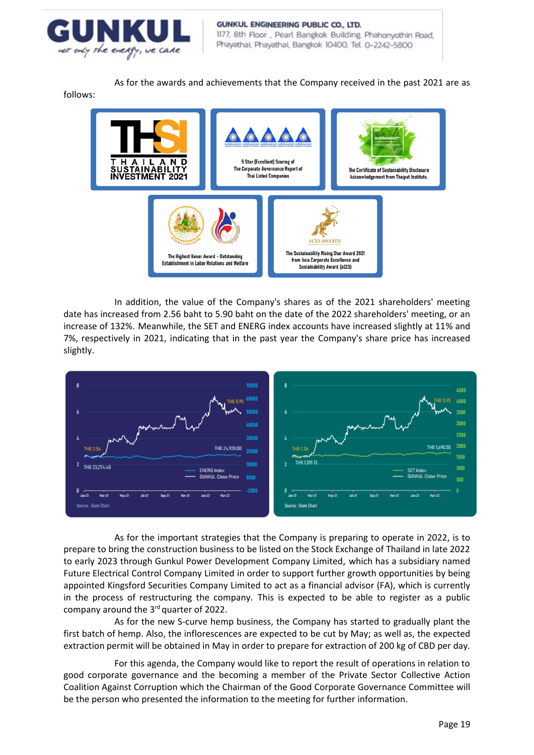

As for the awards and achievements that the Company received in the past 2021 are as

follows:



In addition, the value of the Company's shares as of the 2021 shareholders' meeting date has increased from 2.56 baht to 5.90 baht on the date of the 2022 shareholders' meeting, or an increase of 132%. Meanwhile, the SET and ENERG index accounts have increased slightly at 11% and 7%, respectively in 2021, indicating that in the past year the Company's share price has increased slightly.



As for the important strategies that the Company is preparing to operate in 2022, is to prepare to bring the construction business to be listed on the Stock Exchange of Thailand in late 2022 to early 2023 through Gunkul Power Development Company Limited, which has a subsidiary named Future Electrical Control Company Limited in order to support further growth opportunities by being appointed Kingsford Securities Company Limited to act as a financial advisor (FA), which is currently in the process of restructuring the company. This is expected to be able to register as a public company around the 3rd quarter of 2022.

As for the new S-curve hemp business, the Company has started to gradually plant the first batch of hemp. Also, the inflorescences are expected to be cut by May; as well as, the expected extraction permit will be obtained in May in order to prepare for extraction of 200 kg of CBD per day.

For this agenda, the Company would like to report the result of operations in relation to good corporate governance and the becoming a member of the Private Sector Collective Action Coalition Against Corruption which the Chairman of the Good Corporate Governance Committee will be the person who presented the information to the meeting for further information.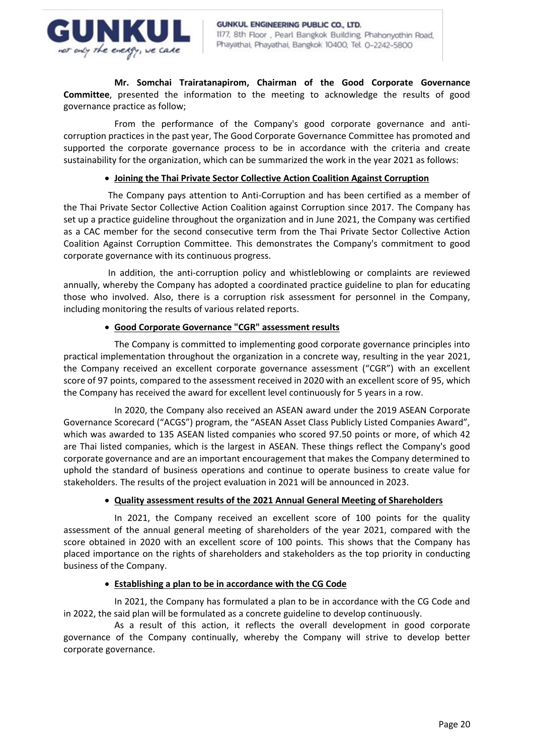

**Mr. Somchai Trairatanapirom, Chairman of the Good Corporate Governance Committee**, presented the information to the meeting to acknowledge the results of good governance practice as follow;

From the performance of the Company's good corporate governance and anticorruption practices in the past year, The Good Corporate Governance Committee has promoted and supported the corporate governance process to be in accordance with the criteria and create sustainability for the organization, which can be summarized the work in the year 2021 as follows:

## • **Joining the Thai Private Sector Collective Action Coalition Against Corruption**

The Company pays attention to Anti-Corruption and has been certified as a member of the Thai Private Sector Collective Action Coalition against Corruption since 2017. The Company has set up a practice guideline throughout the organization and in June 2021, the Company was certified as a CAC member for the second consecutive term from the Thai Private Sector Collective Action Coalition Against Corruption Committee. This demonstrates the Company's commitment to good corporate governance with its continuous progress.

In addition, the anti-corruption policy and whistleblowing or complaints are reviewed annually, whereby the Company has adopted a coordinated practice guideline to plan for educating those who involved. Also, there is a corruption risk assessment for personnel in the Company, including monitoring the results of various related reports.

## • **Good Corporate Governance "CGR" assessment results**

The Company is committed to implementing good corporate governance principles into practical implementation throughout the organization in a concrete way, resulting in the year 2021, the Company received an excellent corporate governance assessment ("CGR") with an excellent score of 97 points, compared to the assessment received in 2020 with an excellent score of 95, which the Company has received the award for excellent level continuously for 5 years in a row.

In 2020, the Company also received an ASEAN award under the 2019 ASEAN Corporate Governance Scorecard ("ACGS") program, the "ASEAN Asset Class Publicly Listed Companies Award", which was awarded to 135 ASEAN listed companies who scored 97.50 points or more, of which 42 are Thai listed companies, which is the largest in ASEAN. These things reflect the Company's good corporate governance and are an important encouragement that makes the Company determined to uphold the standard of business operations and continue to operate business to create value for stakeholders. The results of the project evaluation in 2021 will be announced in 2023.

# • **Quality assessment results of the 2021 Annual General Meeting of Shareholders**

In 2021, the Company received an excellent score of 100 points for the quality assessment of the annual general meeting of shareholders of the year 2021, compared with the score obtained in 2020 with an excellent score of 100 points. This shows that the Company has placed importance on the rights of shareholders and stakeholders as the top priority in conducting business of the Company.

# • **Establishing a plan to be in accordance with the CG Code**

In 2021, the Company has formulated a plan to be in accordance with the CG Code and in 2022, the said plan will be formulated as a concrete guideline to develop continuously.

As a result of this action, it reflects the overall development in good corporate governance of the Company continually, whereby the Company will strive to develop better corporate governance.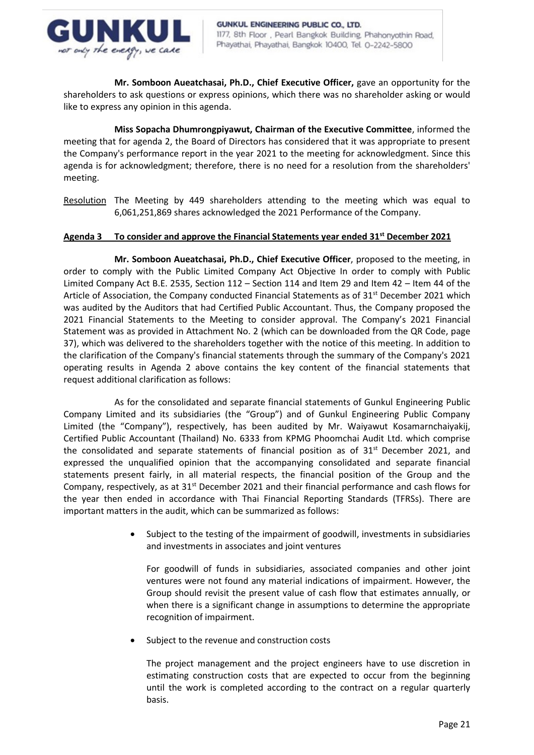

**Mr. Somboon Aueatchasai, Ph.D., Chief Executive Officer,** gave an opportunity for the shareholders to ask questions or express opinions, which there was no shareholder asking or would like to express any opinion in this agenda.

**Miss Sopacha Dhumrongpiyawut, Chairman of the Executive Committee**, informed the meeting that for agenda 2, the Board of Directors has considered that it was appropriate to present the Company's performance report in the year 2021 to the meeting for acknowledgment. Since this agenda is for acknowledgment; therefore, there is no need for a resolution from the shareholders' meeting.

Resolution The Meeting by 449 shareholders attending to the meeting which was equal to 6,061,251,869 shares acknowledged the 2021 Performance of the Company.

## **Agenda 3 To consider and approve the Financial Statements year ended 31st December 2021**

**Mr. Somboon Aueatchasai, Ph.D., Chief Executive Officer**, proposed to the meeting, in order to comply with the Public Limited Company Act Objective In order to comply with Public Limited Company Act B.E. 2535, Section 112 – Section 114 and Item 29 and Item 42 – Item 44 of the Article of Association, the Company conducted Financial Statements as of 31<sup>st</sup> December 2021 which was audited by the Auditors that had Certified Public Accountant. Thus, the Company proposed the 2021 Financial Statements to the Meeting to consider approval. The Company's 2021 Financial Statement was as provided in Attachment No. 2 (which can be downloaded from the QR Code, page 37), which was delivered to the shareholders together with the notice of this meeting. In addition to the clarification of the Company's financial statements through the summary of the Company's 2021 operating results in Agenda 2 above contains the key content of the financial statements that request additional clarification as follows:

As for the consolidated and separate financial statements of Gunkul Engineering Public Company Limited and its subsidiaries (the "Group") and of Gunkul Engineering Public Company Limited (the "Company"), respectively, has been audited by Mr. Waiyawut Kosamarnchaiyakij, Certified Public Accountant (Thailand) No. 6333 from KPMG Phoomchai Audit Ltd. which comprise the consolidated and separate statements of financial position as of  $31<sup>st</sup>$  December 2021, and expressed the unqualified opinion that the accompanying consolidated and separate financial statements present fairly, in all material respects, the financial position of the Group and the Company, respectively, as at 31<sup>st</sup> December 2021 and their financial performance and cash flows for the year then ended in accordance with Thai Financial Reporting Standards (TFRSs). There are important matters in the audit, which can be summarized as follows:

> • Subject to the testing of the impairment of goodwill, investments in subsidiaries and investments in associates and joint ventures

For goodwill of funds in subsidiaries, associated companies and other joint ventures were not found any material indications of impairment. However, the Group should revisit the present value of cash flow that estimates annually, or when there is a significant change in assumptions to determine the appropriate recognition of impairment.

Subject to the revenue and construction costs

The project management and the project engineers have to use discretion in estimating construction costs that are expected to occur from the beginning until the work is completed according to the contract on a regular quarterly basis.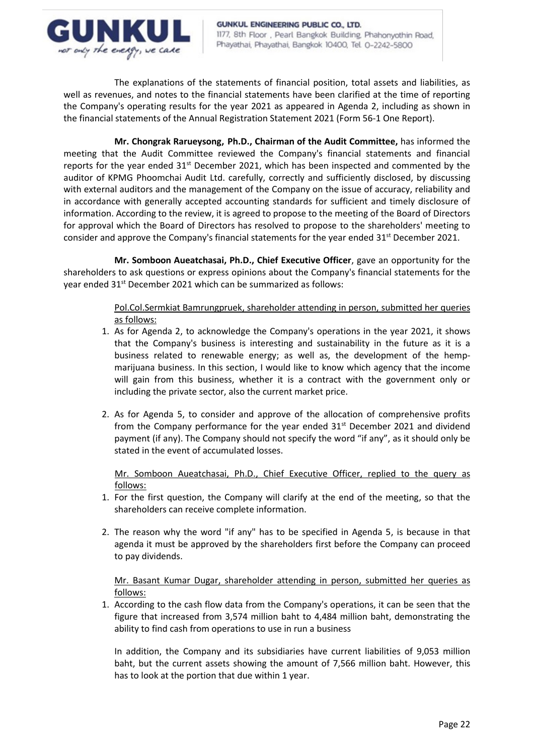

The explanations of the statements of financial position, total assets and liabilities, as well as revenues, and notes to the financial statements have been clarified at the time of reporting the Company's operating results for the year 2021 as appeared in Agenda 2, including as shown in the financial statements of the Annual Registration Statement 2021 (Form 56-1 One Report).

**Mr. Chongrak Rarueysong, Ph.D., Chairman of the Audit Committee,** has informed the meeting that the Audit Committee reviewed the Company's financial statements and financial reports for the year ended  $31<sup>st</sup>$  December 2021, which has been inspected and commented by the auditor of KPMG Phoomchai Audit Ltd. carefully, correctly and sufficiently disclosed, by discussing with external auditors and the management of the Company on the issue of accuracy, reliability and in accordance with generally accepted accounting standards for sufficient and timely disclosure of information. According to the review, it is agreed to propose to the meeting of the Board of Directors for approval which the Board of Directors has resolved to propose to the shareholders' meeting to consider and approve the Company's financial statements for the year ended 31<sup>st</sup> December 2021.

**Mr. Somboon Aueatchasai, Ph.D., Chief Executive Officer**, gave an opportunity for the shareholders to ask questions or express opinions about the Company's financial statements for the year ended 31<sup>st</sup> December 2021 which can be summarized as follows:

> Pol.Col.Sermkiat Bamrungpruek, shareholder attending in person, submitted her queries as follows:

- 1. As for Agenda 2, to acknowledge the Company's operations in the year 2021, it shows that the Company's business is interesting and sustainability in the future as it is a business related to renewable energy; as well as, the development of the hempmarijuana business. In this section, I would like to know which agency that the income will gain from this business, whether it is a contract with the government only or including the private sector, also the current market price.
- 2. As for Agenda 5, to consider and approve of the allocation of comprehensive profits from the Company performance for the year ended  $31^{st}$  December 2021 and dividend payment (if any). The Company should not specify the word "if any", as it should only be stated in the event of accumulated losses.

Mr. Somboon Aueatchasai, Ph.D., Chief Executive Officer, replied to the query as follows:

- 1. For the first question, the Company will clarify at the end of the meeting, so that the shareholders can receive complete information.
- 2. The reason why the word "if any" has to be specified in Agenda 5, is because in that agenda it must be approved by the shareholders first before the Company can proceed to pay dividends.

Mr. Basant Kumar Dugar, shareholder attending in person, submitted her queries as follows:

1. According to the cash flow data from the Company's operations, it can be seen that the figure that increased from 3,574 million baht to 4,484 million baht, demonstrating the ability to find cash from operations to use in run a business

In addition, the Company and its subsidiaries have current liabilities of 9,053 million baht, but the current assets showing the amount of 7,566 million baht. However, this has to look at the portion that due within 1 year.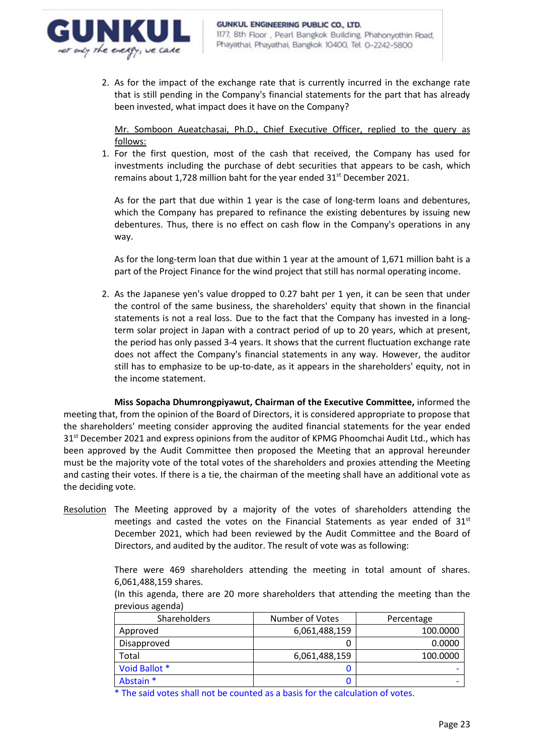

2. As for the impact of the exchange rate that is currently incurred in the exchange rate that is still pending in the Company's financial statements for the part that has already been invested, what impact does it have on the Company?

Mr. Somboon Aueatchasai, Ph.D., Chief Executive Officer, replied to the query as follows:

1. For the first question, most of the cash that received, the Company has used for investments including the purchase of debt securities that appears to be cash, which remains about 1,728 million baht for the year ended 31<sup>st</sup> December 2021.

As for the part that due within 1 year is the case of long-term loans and debentures, which the Company has prepared to refinance the existing debentures by issuing new debentures. Thus, there is no effect on cash flow in the Company's operations in any way.

As for the long-term loan that due within 1 year at the amount of 1,671 million baht is a part of the Project Finance for the wind project that still has normal operating income.

2. As the Japanese yen's value dropped to 0.27 baht per 1 yen, it can be seen that under the control of the same business, the shareholders' equity that shown in the financial statements is not a real loss. Due to the fact that the Company has invested in a longterm solar project in Japan with a contract period of up to 20 years, which at present, the period has only passed 3-4 years. It shows that the current fluctuation exchange rate does not affect the Company's financial statements in any way. However, the auditor still has to emphasize to be up-to-date, as it appears in the shareholders' equity, not in the income statement.

**Miss Sopacha Dhumrongpiyawut, Chairman of the Executive Committee,** informed the meeting that, from the opinion of the Board of Directors, it is considered appropriate to propose that the shareholders' meeting consider approving the audited financial statements for the year ended 31<sup>st</sup> December 2021 and express opinions from the auditor of KPMG Phoomchai Audit Ltd., which has been approved by the Audit Committee then proposed the Meeting that an approval hereunder must be the majority vote of the total votes of the shareholders and proxies attending the Meeting and casting their votes. If there is a tie, the chairman of the meeting shall have an additional vote as the deciding vote.

Resolution The Meeting approved by a majority of the votes of shareholders attending the meetings and casted the votes on the Financial Statements as year ended of  $31<sup>st</sup>$ December 2021, which had been reviewed by the Audit Committee and the Board of Directors, and audited by the auditor. The result of vote was as following:

> There were 469 shareholders attending the meeting in total amount of shares. 6,061,488,159 shares.

| (In this agenda, there are 20 more shareholders that attending the meeting than the |  |  |  |  |  |
|-------------------------------------------------------------------------------------|--|--|--|--|--|
| previous agenda)                                                                    |  |  |  |  |  |

| Shareholders  | Number of Votes | Percentage |
|---------------|-----------------|------------|
| Approved      | 6,061,488,159   | 100.0000   |
| Disapproved   |                 | 0.0000     |
| Total         | 6,061,488,159   | 100.0000   |
| Void Ballot * |                 |            |
| Abstain *     |                 |            |

\* The said votes shall not be counted as a basis for the calculation of votes.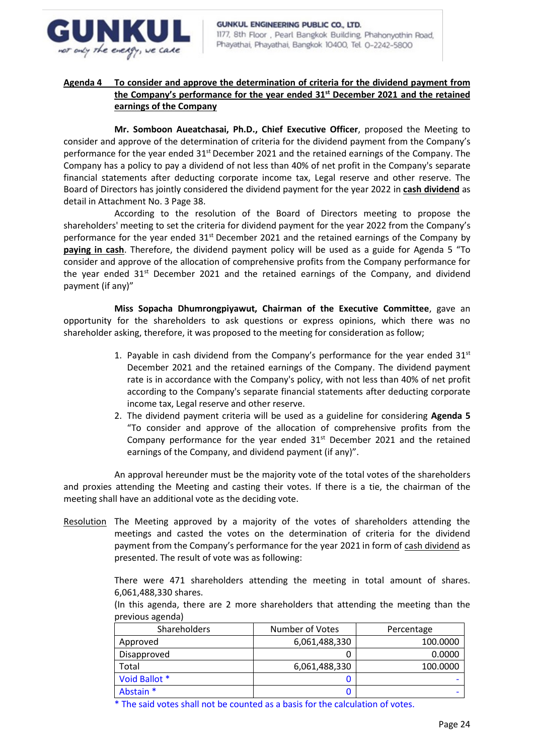

# **Agenda 4 To consider and approve the determination of criteria for the dividend payment from the Company's performance for the year ended 31st December 2021 and the retained earnings of the Company**

**Mr. Somboon Aueatchasai, Ph.D., Chief Executive Officer**, proposed the Meeting to consider and approve of the determination of criteria for the dividend payment from the Company's performance for the year ended  $31<sup>st</sup>$  December 2021 and the retained earnings of the Company. The Company has a policy to pay a dividend of not less than 40% of net profit in the Company's separate financial statements after deducting corporate income tax, Legal reserve and other reserve. The Board of Directors has jointly considered the dividend payment for the year 2022 in **cash dividend** as detail in Attachment No. 3 Page 38.

According to the resolution of the Board of Directors meeting to propose the shareholders' meeting to set the criteria for dividend payment for the year 2022 from the Company's performance for the year ended  $31^{st}$  December 2021 and the retained earnings of the Company by **paying in cash**. Therefore, the dividend payment policy will be used as a guide for Agenda 5 "To consider and approve of the allocation of comprehensive profits from the Company performance for the year ended  $31^{st}$  December 2021 and the retained earnings of the Company, and dividend payment (if any)"

**Miss Sopacha Dhumrongpiyawut, Chairman of the Executive Committee**, gave an opportunity for the shareholders to ask questions or express opinions, which there was no shareholder asking, therefore, it was proposed to the meeting for consideration as follow;

- 1. Payable in cash dividend from the Company's performance for the year ended  $31<sup>st</sup>$ December 2021 and the retained earnings of the Company. The dividend payment rate is in accordance with the Company's policy, with not less than 40% of net profit according to the Company's separate financial statements after deducting corporate income tax, Legal reserve and other reserve.
- 2. The dividend payment criteria will be used as a guideline for considering **Agenda 5** "To consider and approve of the allocation of comprehensive profits from the Company performance for the year ended  $31<sup>st</sup>$  December 2021 and the retained earnings of the Company, and dividend payment (if any)".

An approval hereunder must be the majority vote of the total votes of the shareholders and proxies attending the Meeting and casting their votes. If there is a tie, the chairman of the meeting shall have an additional vote as the deciding vote.

Resolution The Meeting approved by a majority of the votes of shareholders attending the meetings and casted the votes on the determination of criteria for the dividend payment from the Company's performance for the year 2021 in form of cash dividend as presented. The result of vote was as following:

> There were 471 shareholders attending the meeting in total amount of shares. 6,061,488,330 shares.

> (In this agenda, there are 2 more shareholders that attending the meeting than the previous agenda)

| <b>Shareholders</b> | Number of Votes | Percentage |
|---------------------|-----------------|------------|
| Approved            | 6,061,488,330   | 100.0000   |
| Disapproved         |                 | 0.0000     |
| Total               | 6,061,488,330   | 100.0000   |
| Void Ballot *       |                 |            |
| Abstain *           | U               |            |

\* The said votes shall not be counted as a basis for the calculation of votes.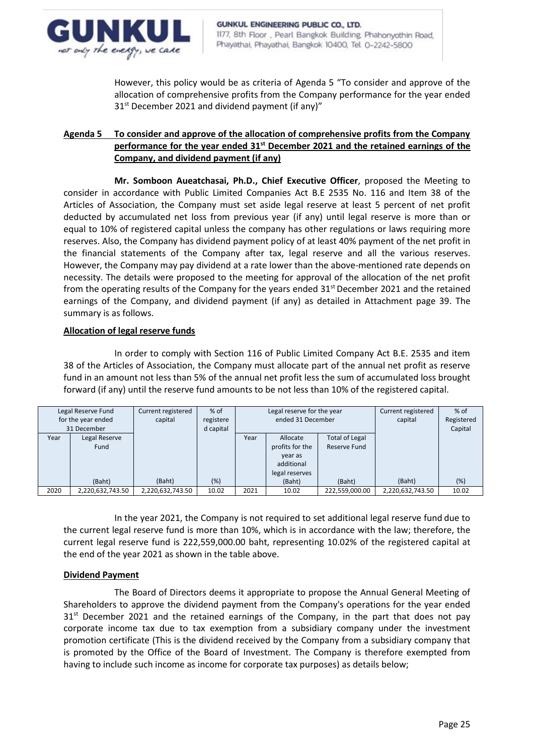

However, this policy would be as criteria of Agenda 5 "To consider and approve of the allocation of comprehensive profits from the Company performance for the year ended 31<sup>st</sup> December 2021 and dividend payment (if any)"

# **Agenda 5 To consider and approve of the allocation of comprehensive profits from the Company performance for the year ended 31st December 2021 and the retained earnings of the Company, and dividend payment (if any)**

**Mr. Somboon Aueatchasai, Ph.D., Chief Executive Officer**, proposed the Meeting to consider in accordance with Public Limited Companies Act B.E 2535 No. 116 and Item 38 of the Articles of Association, the Company must set aside legal reserve at least 5 percent of net profit deducted by accumulated net loss from previous year (if any) until legal reserve is more than or equal to 10% of registered capital unless the company has other regulations or laws requiring more reserves. Also, the Company has dividend payment policy of at least 40% payment of the net profit in the financial statements of the Company after tax, legal reserve and all the various reserves. However, the Company may pay dividend at a rate lower than the above-mentioned rate depends on necessity. The details were proposed to the meeting for approval of the allocation of the net profit from the operating results of the Company for the years ended  $31<sup>st</sup>$  December 2021 and the retained earnings of the Company, and dividend payment (if any) as detailed in Attachment page 39. The summary is as follows.

## **Allocation of legal reserve funds**

In order to comply with Section 116 of Public Limited Company Act B.E. 2535 and item 38 of the Articles of Association, the Company must allocate part of the annual net profit as reserve fund in an amount not less than 5% of the annual net profit less the sum of accumulated loss brought forward (if any) until the reserve fund amounts to be not less than 10% of the registered capital.

| Legal Reserve Fund<br>for the year ended<br>31 December |                       | Current registered<br>capital | $%$ of<br>registere<br>d capital | Legal reserve for the year<br>ended 31 December |                                                                        | Current registered<br>capital         | $%$ of<br>Registered<br>Capital |       |
|---------------------------------------------------------|-----------------------|-------------------------------|----------------------------------|-------------------------------------------------|------------------------------------------------------------------------|---------------------------------------|---------------------------------|-------|
| Year                                                    | Legal Reserve<br>Fund |                               |                                  | Year                                            | Allocate<br>profits for the<br>year as<br>additional<br>legal reserves | <b>Total of Legal</b><br>Reserve Fund |                                 |       |
|                                                         | (Baht)                | (Baht)                        | $(\%)$                           |                                                 | (Baht)                                                                 | (Baht)                                | (Baht)                          | (%)   |
| 2020                                                    | 2,220,632,743.50      | 2,220,632,743.50              | 10.02                            | 2021                                            | 10.02                                                                  | 222,559,000.00                        | 2,220,632,743.50                | 10.02 |

In the year 2021, the Company is not required to set additional legal reserve fund due to the current legal reserve fund is more than 10%, which is in accordance with the law; therefore, the current legal reserve fund is 222,559,000.00 baht, representing 10.02% of the registered capital at the end of the year 2021 as shown in the table above.

## **Dividend Payment**

The Board of Directors deems it appropriate to propose the Annual General Meeting of Shareholders to approve the dividend payment from the Company's operations for the year ended  $31<sup>st</sup>$  December 2021 and the retained earnings of the Company, in the part that does not pay corporate income tax due to tax exemption from a subsidiary company under the investment promotion certificate (This is the dividend received by the Company from a subsidiary company that is promoted by the Office of the Board of Investment. The Company is therefore exempted from having to include such income as income for corporate tax purposes) as details below;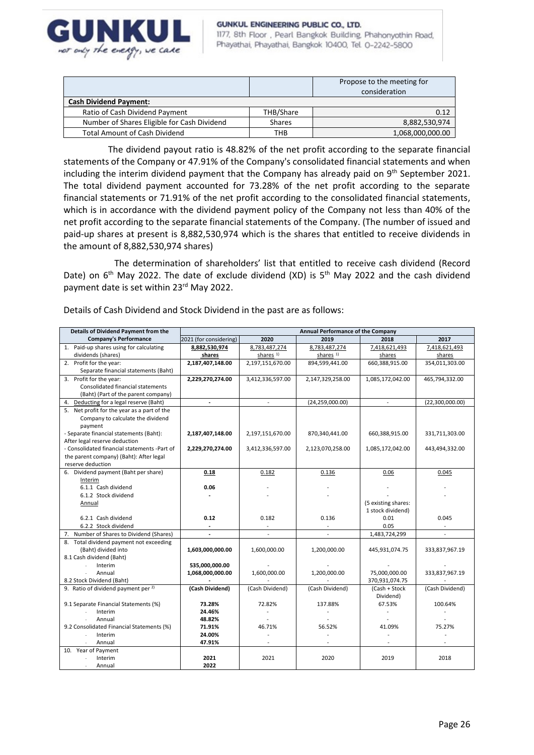

#### GUNKUL ENGINEERING PUBLIC CO., LTD.

1177, 8th Floor, Pearl Bangkok Building, Phahonyothin Road, Phayathai, Phayathai, Bangkok 10400, Tel. 0-2242-5800

|                                             |               | Propose to the meeting for<br>consideration |
|---------------------------------------------|---------------|---------------------------------------------|
| <b>Cash Dividend Payment:</b>               |               |                                             |
| Ratio of Cash Dividend Payment              | THB/Share     | 0.12                                        |
| Number of Shares Eligible for Cash Dividend | <b>Shares</b> | 8,882,530,974                               |
| <b>Total Amount of Cash Dividend</b>        | тнв           | 1,068,000,000.00                            |

The dividend payout ratio is 48.82% of the net profit according to the separate financial statements of the Company or 47.91% of the Company's consolidated financial statements and when including the interim dividend payment that the Company has already paid on 9<sup>th</sup> September 2021. The total dividend payment accounted for 73.28% of the net profit according to the separate financial statements or 71.91% of the net profit according to the consolidated financial statements, which is in accordance with the dividend payment policy of the Company not less than 40% of the net profit according to the separate financial statements of the Company. (The number of issued and paid-up shares at present is 8,882,530,974 which is the shares that entitled to receive dividends in the amount of 8,882,530,974 shares)

The determination of shareholders' list that entitled to receive cash dividend (Record Date) on  $6<sup>th</sup>$  May 2022. The date of exclude dividend (XD) is  $5<sup>th</sup>$  May 2022 and the cash dividend payment date is set within 23rd May 2022.

| Details of Cash Dividend and Stock Dividend in the past are as follows: |  |
|-------------------------------------------------------------------------|--|
|-------------------------------------------------------------------------|--|

| Details of Dividend Payment from the                          | Annual Performance of the Company |                          |                      |                     |                 |  |
|---------------------------------------------------------------|-----------------------------------|--------------------------|----------------------|---------------------|-----------------|--|
| Company's Performance                                         | 2021 (for considering)            | 2020                     | 2019                 | 2018                | 2017            |  |
| 1. Paid-up shares using for calculating                       | 8,882,530,974                     | 8,783,487,274            | 8,783,487,274        | 7,418,621,493       | 7,418,621,493   |  |
| dividends (shares)                                            | shares                            | shares <sup>1)</sup>     | shares <sup>1)</sup> | shares              | shares          |  |
| 2. Profit for the year:                                       | 2,187,407,148.00                  | 2,197,151,670.00         | 894,599,441.00       | 660,388,915.00      | 354,011,303.00  |  |
| Separate financial statements (Baht)                          |                                   |                          |                      |                     |                 |  |
| 3. Profit for the year:                                       | 2,229,270,274.00                  | 3,412,336,597.00         | 2,147,329,258.00     | 1,085,172,042.00    | 465,794,332.00  |  |
| Consolidated financial statements                             |                                   |                          |                      |                     |                 |  |
| (Baht) (Part of the parent company)                           |                                   |                          |                      |                     |                 |  |
| 4. Deducting for a legal reserve (Baht)                       |                                   |                          | (24, 259, 000.00)    |                     | (22,300,000.00) |  |
| 5. Net profit for the year as a part of the                   |                                   |                          |                      |                     |                 |  |
| Company to calculate the dividend                             |                                   |                          |                      |                     |                 |  |
| payment                                                       |                                   |                          |                      |                     |                 |  |
| - Separate financial statements (Baht):                       | 2,187,407,148.00                  | 2,197,151,670.00         | 870,340,441.00       | 660,388,915.00      | 331,711,303.00  |  |
| After legal reserve deduction                                 |                                   |                          |                      |                     |                 |  |
| - Consolidated financial statements -Part of                  | 2,229,270,274.00                  | 3,412,336,597.00         | 2,123,070,258.00     | 1,085,172,042.00    | 443,494,332.00  |  |
| the parent company) (Baht): After legal                       |                                   |                          |                      |                     |                 |  |
| reserve deduction                                             |                                   |                          |                      |                     |                 |  |
| 6. Dividend payment (Baht per share)                          | 0.18                              | 0.182                    | 0.136                | 0.06                | 0.045           |  |
| Interim                                                       |                                   |                          |                      |                     |                 |  |
| 6.1.1 Cash dividend                                           | 0.06                              |                          |                      |                     |                 |  |
| 6.1.2 Stock dividend                                          |                                   |                          |                      |                     |                 |  |
| Annual                                                        |                                   |                          |                      | (5 existing shares: |                 |  |
|                                                               |                                   |                          |                      | 1 stock dividend)   |                 |  |
| 6.2.1 Cash dividend                                           | 0.12                              | 0.182                    | 0.136                | 0.01                | 0.045           |  |
| 6.2.2 Stock dividend                                          | ÷.                                |                          |                      | 0.05                |                 |  |
| 7. Number of Shares to Dividend (Shares)                      | $\overline{\phantom{a}}$          | $\overline{\phantom{a}}$ |                      | 1,483,724,299       | ÷               |  |
| 8. Total dividend payment not exceeding                       |                                   |                          |                      |                     |                 |  |
| (Baht) divided into                                           | 1,603,000,000.00                  | 1,600,000.00             | 1,200,000.00         | 445,931,074.75      | 333,837,967.19  |  |
| 8.1 Cash dividend (Baht)                                      |                                   |                          |                      |                     |                 |  |
| Interim                                                       | 535,000,000.00                    |                          |                      |                     |                 |  |
| Annual                                                        | 1,068,000,000.00                  | 1,600,000.00             | 1,200,000.00         | 75,000,000.00       | 333,837,967.19  |  |
| 8.2 Stock Dividend (Baht)                                     |                                   |                          |                      | 370,931,074.75      |                 |  |
| 9. Ratio of dividend payment per <sup>2)</sup>                | (Cash Dividend)                   | (Cash Dividend)          | (Cash Dividend)      | (Cash + Stock       | (Cash Dividend) |  |
|                                                               |                                   |                          |                      | Dividend)           |                 |  |
| 9.1 Separate Financial Statements (%)                         | 73.28%                            | 72.82%                   | 137.88%              | 67.53%              | 100.64%         |  |
| Interim<br>Annual                                             | 24.46%<br>48.82%                  |                          |                      |                     |                 |  |
| 9.2 Consolidated Financial Statements (%)                     | 71.91%                            | 46.71%                   | 56.52%               | 41.09%              | 75.27%          |  |
|                                                               |                                   |                          |                      |                     |                 |  |
|                                                               |                                   |                          |                      |                     |                 |  |
|                                                               |                                   |                          |                      |                     |                 |  |
|                                                               |                                   |                          |                      |                     |                 |  |
|                                                               |                                   |                          |                      |                     |                 |  |
| Interim<br>Annual<br>10. Year of Payment<br>Interim<br>Annual | 24.00%<br>47.91%<br>2021<br>2022  | 2021                     | 2020                 | 2019                | 2018            |  |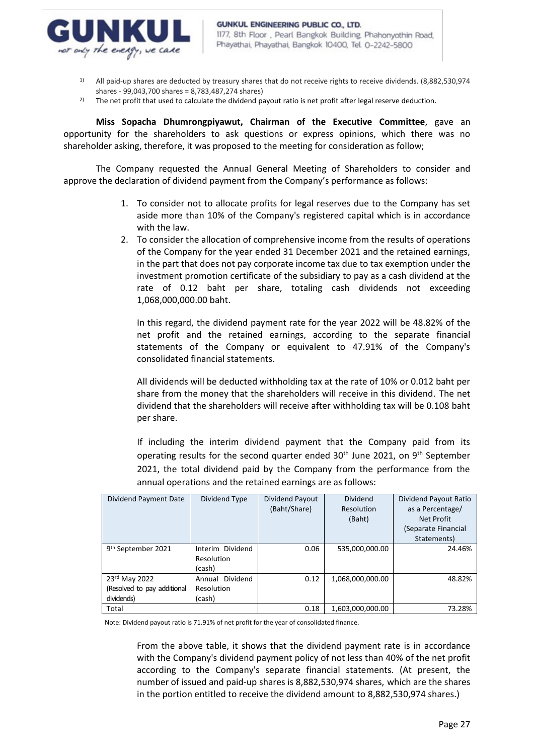

- $1)$  All paid-up shares are deducted by treasury shares that do not receive rights to receive dividends. (8,882,530,974 shares - 99,043,700 shares = 8,783,487,274 shares)
- <sup>2)</sup> The net profit that used to calculate the dividend payout ratio is net profit after legal reserve deduction.

**Miss Sopacha Dhumrongpiyawut, Chairman of the Executive Committee**, gave an opportunity for the shareholders to ask questions or express opinions, which there was no shareholder asking, therefore, it was proposed to the meeting for consideration as follow;

The Company requested the Annual General Meeting of Shareholders to consider and approve the declaration of dividend payment from the Company's performance as follows:

- 1. To consider not to allocate profits for legal reserves due to the Company has set aside more than 10% of the Company's registered capital which is in accordance with the law.
- 2. To consider the allocation of comprehensive income from the results of operations of the Company for the year ended 31 December 2021 and the retained earnings, in the part that does not pay corporate income tax due to tax exemption under the investment promotion certificate of the subsidiary to pay as a cash dividend at the rate of 0.12 baht per share, totaling cash dividends not exceeding 1,068,000,000.00 baht.

In this regard, the dividend payment rate for the year 2022 will be 48.82% of the net profit and the retained earnings, according to the separate financial statements of the Company or equivalent to 47.91% of the Company's consolidated financial statements.

All dividends will be deducted withholding tax at the rate of 10% or 0.012 baht per share from the money that the shareholders will receive in this dividend. The net dividend that the shareholders will receive after withholding tax will be 0.108 baht per share.

If including the interim dividend payment that the Company paid from its operating results for the second quarter ended  $30<sup>th</sup>$  June 2021, on  $9<sup>th</sup>$  September 2021, the total dividend paid by the Company from the performance from the annual operations and the retained earnings are as follows:

| Dividend Payment Date                                      | Dividend Type                            | Dividend Payout<br>(Baht/Share) | <b>Dividend</b><br>Resolution<br>(Baht) | Dividend Payout Ratio<br>as a Percentage/<br>Net Profit<br>(Separate Financial<br>Statements) |
|------------------------------------------------------------|------------------------------------------|---------------------------------|-----------------------------------------|-----------------------------------------------------------------------------------------------|
| 9 <sup>th</sup> September 2021                             | Interim Dividend<br>Resolution<br>(cash) | 0.06                            | 535,000,000.00                          | 24.46%                                                                                        |
| 23rd May 2022<br>(Resolved to pay additional<br>dividends) | Annual Dividend<br>Resolution<br>(cash)  | 0.12                            | 1,068,000,000.00                        | 48.82%                                                                                        |
| Total                                                      |                                          | 0.18                            | 1,603,000,000.00                        | 73.28%                                                                                        |

Note: Dividend payout ratio is 71.91% of net profit for the year of consolidated finance.

From the above table, it shows that the dividend payment rate is in accordance with the Company's dividend payment policy of not less than 40% of the net profit according to the Company's separate financial statements. (At present, the number of issued and paid-up shares is 8,882,530,974 shares, which are the shares in the portion entitled to receive the dividend amount to 8,882,530,974 shares.)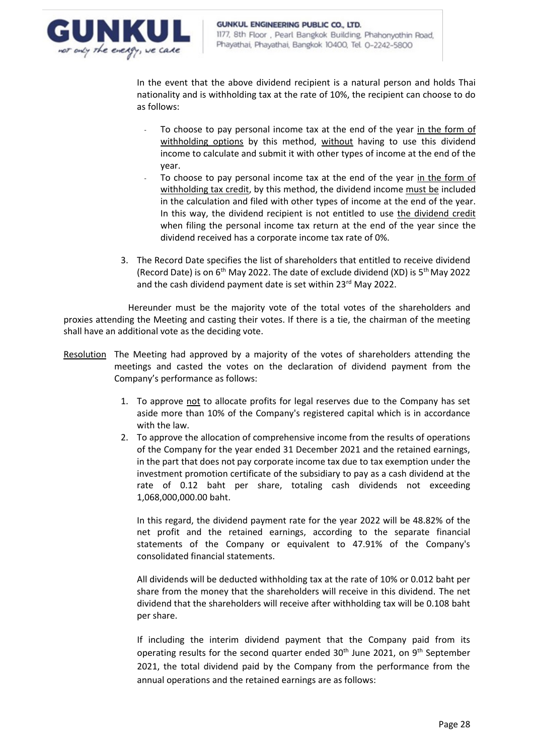

In the event that the above dividend recipient is a natural person and holds Thai nationality and is withholding tax at the rate of 10%, the recipient can choose to do as follows:

- To choose to pay personal income tax at the end of the year in the form of withholding options by this method, without having to use this dividend income to calculate and submit it with other types of income at the end of the year.
- To choose to pay personal income tax at the end of the year in the form of withholding tax credit, by this method, the dividend income must be included in the calculation and filed with other types of income at the end of the year. In this way, the dividend recipient is not entitled to use the dividend credit when filing the personal income tax return at the end of the year since the dividend received has a corporate income tax rate of 0%.
- 3. The Record Date specifies the list of shareholders that entitled to receive dividend (Record Date) is on  $6<sup>th</sup>$  May 2022. The date of exclude dividend (XD) is  $5<sup>th</sup>$  May 2022 and the cash dividend payment date is set within 23rd May 2022.

Hereunder must be the majority vote of the total votes of the shareholders and proxies attending the Meeting and casting their votes. If there is a tie, the chairman of the meeting shall have an additional vote as the deciding vote.

- Resolution The Meeting had approved by a majority of the votes of shareholders attending the meetings and casted the votes on the declaration of dividend payment from the Company's performance as follows:
	- 1. To approve not to allocate profits for legal reserves due to the Company has set aside more than 10% of the Company's registered capital which is in accordance with the law.
	- 2. To approve the allocation of comprehensive income from the results of operations of the Company for the year ended 31 December 2021 and the retained earnings, in the part that does not pay corporate income tax due to tax exemption under the investment promotion certificate of the subsidiary to pay as a cash dividend at the rate of 0.12 baht per share, totaling cash dividends not exceeding 1,068,000,000.00 baht.

In this regard, the dividend payment rate for the year 2022 will be 48.82% of the net profit and the retained earnings, according to the separate financial statements of the Company or equivalent to 47.91% of the Company's consolidated financial statements.

All dividends will be deducted withholding tax at the rate of 10% or 0.012 baht per share from the money that the shareholders will receive in this dividend. The net dividend that the shareholders will receive after withholding tax will be 0.108 baht per share.

If including the interim dividend payment that the Company paid from its operating results for the second quarter ended 30<sup>th</sup> June 2021, on 9<sup>th</sup> September 2021, the total dividend paid by the Company from the performance from the annual operations and the retained earnings are as follows: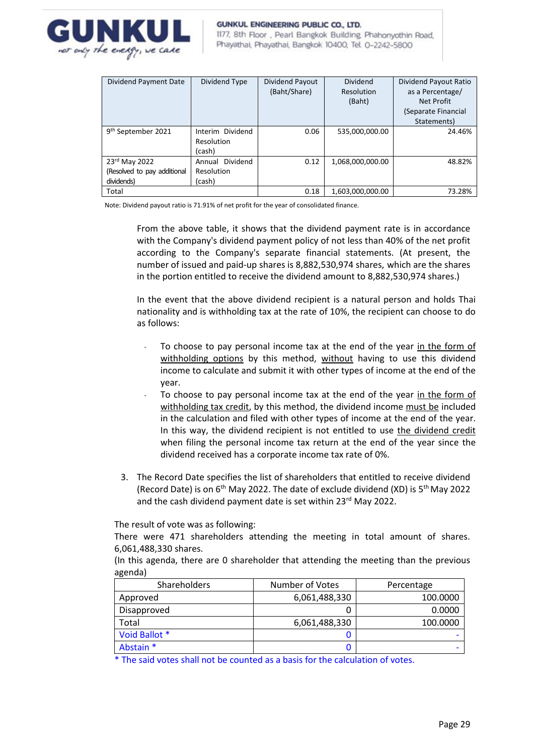

1177, 8th Floor, Pearl Bangkok Building, Phahonyothin Road, Phayathai, Phayathai, Bangkok 10400, Tel. 0-2242-5800

| Dividend Payment Date          | Dividend Type      | Dividend Payout<br>(Baht/Share) | Dividend<br>Resolution<br>(Baht) | Dividend Payout Ratio<br>as a Percentage/<br>Net Profit |
|--------------------------------|--------------------|---------------------------------|----------------------------------|---------------------------------------------------------|
|                                |                    |                                 |                                  | (Separate Financial                                     |
|                                |                    |                                 |                                  | Statements)                                             |
| 9 <sup>th</sup> September 2021 | Interim Dividend   | 0.06                            | 535,000,000.00                   | 24.46%                                                  |
|                                | Resolution         |                                 |                                  |                                                         |
|                                | (cash)             |                                 |                                  |                                                         |
| 23rd May 2022                  | Dividend<br>Annual | 0.12                            | 1,068,000,000.00                 | 48.82%                                                  |
| (Resolved to pay additional    | Resolution         |                                 |                                  |                                                         |
| dividends)                     | (cash)             |                                 |                                  |                                                         |
| Total                          |                    | 0.18                            | 1,603,000,000.00                 | 73.28%                                                  |

Note: Dividend payout ratio is 71.91% of net profit for the year of consolidated finance.

From the above table, it shows that the dividend payment rate is in accordance with the Company's dividend payment policy of not less than 40% of the net profit according to the Company's separate financial statements. (At present, the number of issued and paid-up shares is 8,882,530,974 shares, which are the shares in the portion entitled to receive the dividend amount to 8,882,530,974 shares.)

In the event that the above dividend recipient is a natural person and holds Thai nationality and is withholding tax at the rate of 10%, the recipient can choose to do as follows:

- To choose to pay personal income tax at the end of the year in the form of withholding options by this method, without having to use this dividend income to calculate and submit it with other types of income at the end of the year.
- To choose to pay personal income tax at the end of the year in the form of withholding tax credit, by this method, the dividend income must be included in the calculation and filed with other types of income at the end of the year. In this way, the dividend recipient is not entitled to use the dividend credit when filing the personal income tax return at the end of the year since the dividend received has a corporate income tax rate of 0%.
- 3. The Record Date specifies the list of shareholders that entitled to receive dividend (Record Date) is on  $6<sup>th</sup>$  May 2022. The date of exclude dividend (XD) is  $5<sup>th</sup>$  May 2022 and the cash dividend payment date is set within 23<sup>rd</sup> May 2022.

The result of vote was as following:

There were 471 shareholders attending the meeting in total amount of shares. 6,061,488,330 shares.

(In this agenda, there are 0 shareholder that attending the meeting than the previous agenda)

| <b>Shareholders</b> | Number of Votes | Percentage |  |
|---------------------|-----------------|------------|--|
| Approved            | 6,061,488,330   | 100.0000   |  |
| Disapproved         |                 | 0.0000     |  |
| Total               | 6,061,488,330   | 100.0000   |  |
| Void Ballot *       |                 |            |  |
| Abstain *           | J               |            |  |

\* The said votes shall not be counted as a basis for the calculation of votes.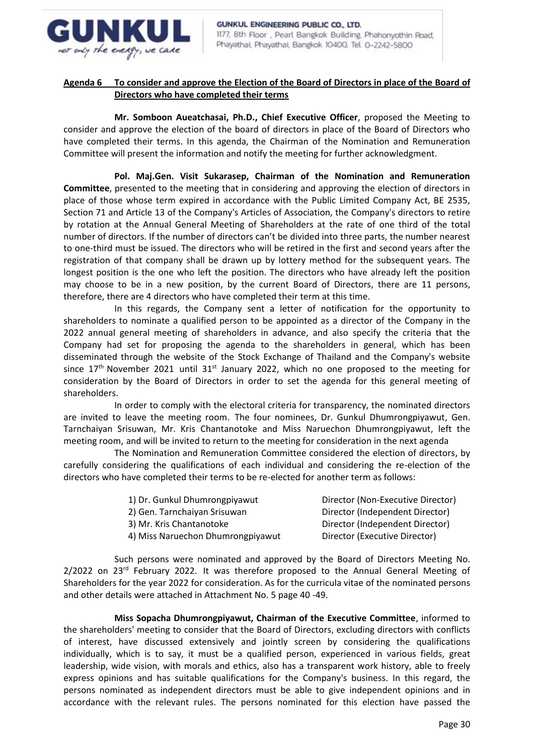

## **Agenda 6 To consider and approve the Election of the Board of Directors in place of the Board of Directors who have completed their terms**

**Mr. Somboon Aueatchasai, Ph.D., Chief Executive Officer**, proposed the Meeting to consider and approve the election of the board of directors in place of the Board of Directors who have completed their terms. In this agenda, the Chairman of the Nomination and Remuneration Committee will present the information and notify the meeting for further acknowledgment.

**Pol. Maj.Gen. Visit Sukarasep, Chairman of the Nomination and Remuneration Committee**, presented to the meeting that in considering and approving the election of directors in place of those whose term expired in accordance with the Public Limited Company Act, BE 2535, Section 71 and Article 13 of the Company's Articles of Association, the Company's directors to retire by rotation at the Annual General Meeting of Shareholders at the rate of one third of the total number of directors. If the number of directors can't be divided into three parts, the number nearest to one-third must be issued. The directors who will be retired in the first and second years after the registration of that company shall be drawn up by lottery method for the subsequent years. The longest position is the one who left the position. The directors who have already left the position may choose to be in a new position, by the current Board of Directors, there are 11 persons, therefore, there are 4 directors who have completed their term at this time.

In this regards, the Company sent a letter of notification for the opportunity to shareholders to nominate a qualified person to be appointed as a director of the Company in the 2022 annual general meeting of shareholders in advance, and also specify the criteria that the Company had set for proposing the agenda to the shareholders in general, which has been disseminated through the website of the Stock Exchange of Thailand and the Company's website since 17<sup>th</sup> November 2021 until 31<sup>st</sup> January 2022, which no one proposed to the meeting for consideration by the Board of Directors in order to set the agenda for this general meeting of shareholders.

In order to comply with the electoral criteria for transparency, the nominated directors are invited to leave the meeting room. The four nominees, Dr. Gunkul Dhumrongpiyawut, Gen. Tarnchaiyan Srisuwan, Mr. Kris Chantanotoke and Miss Naruechon Dhumrongpiyawut, left the meeting room, and will be invited to return to the meeting for consideration in the next agenda

The Nomination and Remuneration Committee considered the election of directors, by carefully considering the qualifications of each individual and considering the re-election of the directors who have completed their terms to be re-elected for another term as follows:

| Director (Non-Executive Director) |
|-----------------------------------|
| Director (Independent Director)   |
| Director (Independent Director)   |
| Director (Executive Director)     |
|                                   |

Such persons were nominated and approved by the Board of Directors Meeting No. 2/2022 on 23<sup>rd</sup> February 2022. It was therefore proposed to the Annual General Meeting of Shareholders for the year 2022 for consideration. As for the curricula vitae of the nominated persons and other details were attached in Attachment No. 5 page 40 -49.

**Miss Sopacha Dhumrongpiyawut, Chairman of the Executive Committee**, informed to the shareholders' meeting to consider that the Board of Directors, excluding directors with conflicts of interest, have discussed extensively and jointly screen by considering the qualifications individually, which is to say, it must be a qualified person, experienced in various fields, great leadership, wide vision, with morals and ethics, also has a transparent work history, able to freely express opinions and has suitable qualifications for the Company's business. In this regard, the persons nominated as independent directors must be able to give independent opinions and in accordance with the relevant rules. The persons nominated for this election have passed the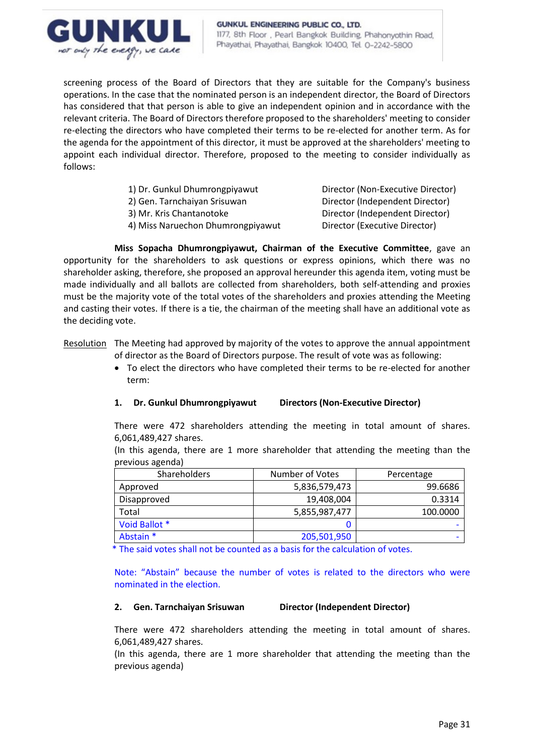

screening process of the Board of Directors that they are suitable for the Company's business operations. In the case that the nominated person is an independent director, the Board of Directors has considered that that person is able to give an independent opinion and in accordance with the relevant criteria. The Board of Directors therefore proposed to the shareholders' meeting to consider re-electing the directors who have completed their terms to be re-elected for another term. As for the agenda for the appointment of this director, it must be approved at the shareholders' meeting to appoint each individual director. Therefore, proposed to the meeting to consider individually as follows:

- 1) Dr. Gunkul Dhumrongpiyawut Director (Non-Executive Director)
- 

4) Miss Naruechon Dhumrongpiyawut Director (Executive Director)

2) Gen. Tarnchaiyan Srisuwan Director (Independent Director) 3) Mr. Kris Chantanotoke Director (Independent Director)

**Miss Sopacha Dhumrongpiyawut, Chairman of the Executive Committee**, gave an opportunity for the shareholders to ask questions or express opinions, which there was no shareholder asking, therefore, she proposed an approval hereunder this agenda item, voting must be made individually and all ballots are collected from shareholders, both self-attending and proxies must be the majority vote of the total votes of the shareholders and proxies attending the Meeting and casting their votes. If there is a tie, the chairman of the meeting shall have an additional vote as the deciding vote.

Resolution The Meeting had approved by majority of the votes to approve the annual appointment of director as the Board of Directors purpose. The result of vote was as following:

> • To elect the directors who have completed their terms to be re-elected for another term:

# **1. Dr. Gunkul Dhumrongpiyawut Directors (Non-Executive Director)**

There were 472 shareholders attending the meeting in total amount of shares. 6,061,489,427 shares.

(In this agenda, there are 1 more shareholder that attending the meeting than the previous agenda)

| <b>Shareholders</b> | Number of Votes | Percentage |  |
|---------------------|-----------------|------------|--|
| Approved            | 5,836,579,473   | 99.6686    |  |
| Disapproved         | 19,408,004      | 0.3314     |  |
| Total               | 5,855,987,477   | 100.0000   |  |
| Void Ballot *       |                 |            |  |
| Abstain *           | 205,501,950     |            |  |

\* The said votes shall not be counted as a basis for the calculation of votes.

Note: "Abstain" because the number of votes is related to the directors who were nominated in the election.

## **2. Gen. Tarnchaiyan Srisuwan Director (Independent Director)**

There were 472 shareholders attending the meeting in total amount of shares. 6,061,489,427 shares.

(In this agenda, there are 1 more shareholder that attending the meeting than the previous agenda)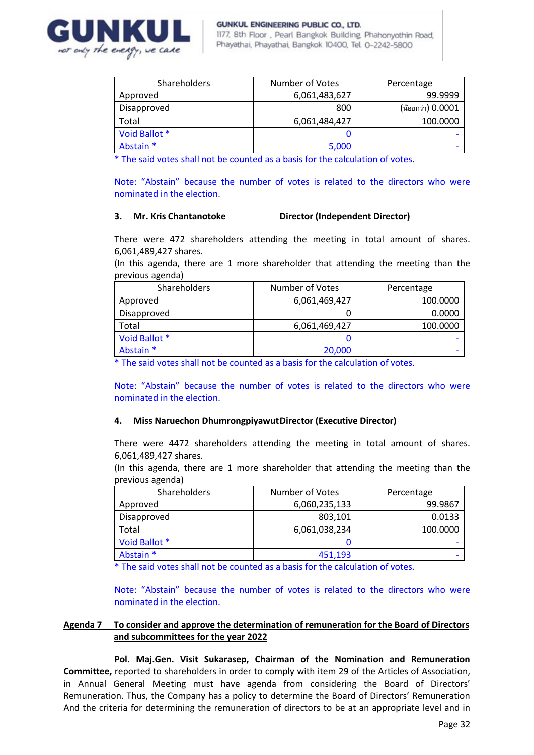

| <b>Shareholders</b> | Number of Votes | Percentage        |  |
|---------------------|-----------------|-------------------|--|
| Approved            | 6,061,483,627   | 99.9999           |  |
| Disapproved         | 800             | (น้อยกว่า) 0.0001 |  |
| Total               | 6,061,484,427   | 100.0000          |  |
| Void Ballot *       | Ü               |                   |  |
| Abstain *           | 5,000           |                   |  |

\* The said votes shall not be counted as a basis for the calculation of votes.

Note: "Abstain" because the number of votes is related to the directors who were nominated in the election.

## **3. Mr. Kris Chantanotoke Director (Independent Director)**

There were 472 shareholders attending the meeting in total amount of shares. 6,061,489,427 shares.

(In this agenda, there are 1 more shareholder that attending the meeting than the previous agenda)

| Shareholders  | Number of Votes | Percentage |  |
|---------------|-----------------|------------|--|
| Approved      | 6,061,469,427   | 100.0000   |  |
| Disapproved   | O               | 0.0000     |  |
| Total         | 6,061,469,427   | 100.0000   |  |
| Void Ballot * |                 |            |  |
| Abstain *     | 20,000          |            |  |

\* The said votes shall not be counted as a basis for the calculation of votes.

Note: "Abstain" because the number of votes is related to the directors who were nominated in the election.

## **4. Miss Naruechon DhumrongpiyawutDirector (Executive Director)**

There were 4472 shareholders attending the meeting in total amount of shares. 6,061,489,427 shares.

(In this agenda, there are 1 more shareholder that attending the meeting than the previous agenda)

| <b>Shareholders</b> | Number of Votes | Percentage |
|---------------------|-----------------|------------|
| Approved            | 6,060,235,133   | 99.9867    |
| Disapproved         | 803,101         | 0.0133     |
| Total               | 6,061,038,234   | 100.0000   |
| Void Ballot *       |                 |            |
| Abstain *           | 451,193         |            |

\* The said votes shall not be counted as a basis for the calculation of votes.

Note: "Abstain" because the number of votes is related to the directors who were nominated in the election.

## **Agenda 7 To consider and approve the determination of remuneration for the Board of Directors and subcommittees for the year 2022**

**Pol. Maj.Gen. Visit Sukarasep, Chairman of the Nomination and Remuneration Committee,** reported to shareholders in order to comply with item 29 of the Articles of Association, in Annual General Meeting must have agenda from considering the Board of Directors' Remuneration. Thus, the Company has a policy to determine the Board of Directors' Remuneration And the criteria for determining the remuneration of directors to be at an appropriate level and in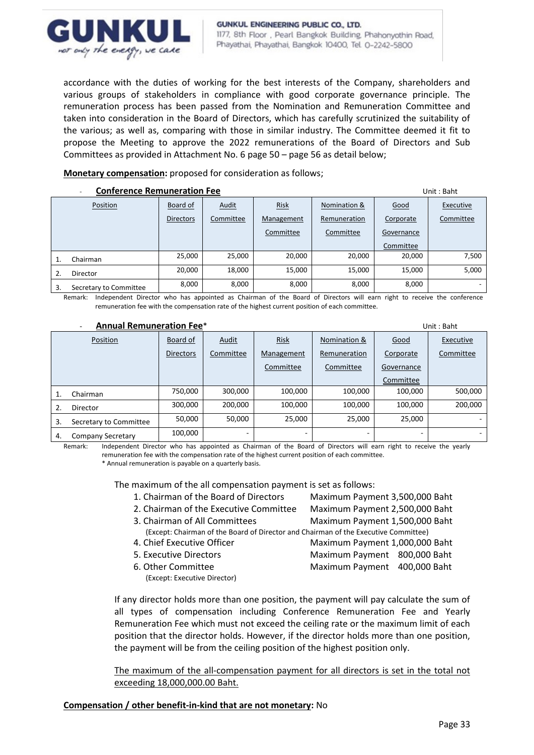

accordance with the duties of working for the best interests of the Company, shareholders and various groups of stakeholders in compliance with good corporate governance principle. The remuneration process has been passed from the Nomination and Remuneration Committee and taken into consideration in the Board of Directors, which has carefully scrutinized the suitability of the various; as well as, comparing with those in similar industry. The Committee deemed it fit to propose the Meeting to approve the 2022 remunerations of the Board of Directors and Sub Committees as provided in Attachment No. 6 page 50 – page 56 as detail below;

## **Monetary compensation:** proposed for consideration as follows;

| <b>Conference Remuneration Fee</b> |                        |                  |           |            |              | Unit: Baht |           |
|------------------------------------|------------------------|------------------|-----------|------------|--------------|------------|-----------|
|                                    | Position               | Board of         | Audit     | Risk       | Nomination & | Good       | Executive |
|                                    |                        | <b>Directors</b> | Committee | Management | Remuneration | Corporate  | Committee |
|                                    |                        |                  |           | Committee  | Committee    | Governance |           |
|                                    |                        |                  |           |            |              | Committee  |           |
|                                    | Chairman               | 25,000           | 25,000    | 20,000     | 20,000       | 20,000     | 7,500     |
| 2.                                 | <b>Director</b>        | 20,000           | 18,000    | 15,000     | 15,000       | 15,000     | 5,000     |
| 3.                                 | Secretary to Committee | 8,000            | 8,000     | 8,000      | 8,000        | 8,000      |           |

Remark: Independent Director who has appointed as Chairman of the Board of Directors will earn right to receive the conference remuneration fee with the compensation rate of the highest current position of each committee.

#### - **Annual Remuneration Fee**\*Unit : Baht

|    | <b>UIIIL , DUIIL</b>     |                  |           |            |              |             |           |
|----|--------------------------|------------------|-----------|------------|--------------|-------------|-----------|
|    | Position                 | Board of         | Audit     | Risk       | Nomination & | <b>Good</b> | Executive |
|    |                          | <b>Directors</b> | Committee | Management | Remuneration | Corporate   | Committee |
|    |                          |                  |           | Committee  | Committee    | Governance  |           |
|    |                          |                  |           |            |              | Committee   |           |
|    | Chairman                 | 750,000          | 300,000   | 100,000    | 100,000      | 100,000     | 500,000   |
|    | Director                 | 300.000          | 200,000   | 100,000    | 100,000      | 100,000     | 200,000   |
| 3. | Secretary to Committee   | 50,000           | 50,000    | 25,000     | 25,000       | 25,000      |           |
| 4. | <b>Company Secretary</b> | 100,000          |           |            |              |             |           |

Remark: Independent Director who has appointed as Chairman of the Board of Directors will earn right to receive the yearly remuneration fee with the compensation rate of the highest current position of each committee. \* Annual remuneration is payable on a quarterly basis.

The maximum of the all compensation payment is set as follows:

- 1. Chairman of the Board of Directors Maximum Payment 3,500,000 Baht
	-

2. Chairman of the Executive Committee Maximum Payment 2,500,000 Baht 3. Chairman of All Committees Maximum Payment 1,500,000 Baht

- 
- 
- 
- - (Except: Executive Director)
- (Except: Chairman of the Board of Director and Chairman of the Executive Committee) 4. Chief Executive Officer Maximum Payment 1,000,000 Baht 5. Executive Directors Maximum Payment 800,000 Baht
- 6. Other Committee Maximum Payment 400,000 Baht

If any director holds more than one position, the payment will pay calculate the sum of all types of compensation including Conference Remuneration Fee and Yearly Remuneration Fee which must not exceed the ceiling rate or the maximum limit of each position that the director holds. However, if the director holds more than one position, the payment will be from the ceiling position of the highest position only.

The maximum of the all-compensation payment for all directors is set in the total not exceeding 18,000,000.00 Baht.

## **Compensation / other benefit-in-kind that are not monetary:** No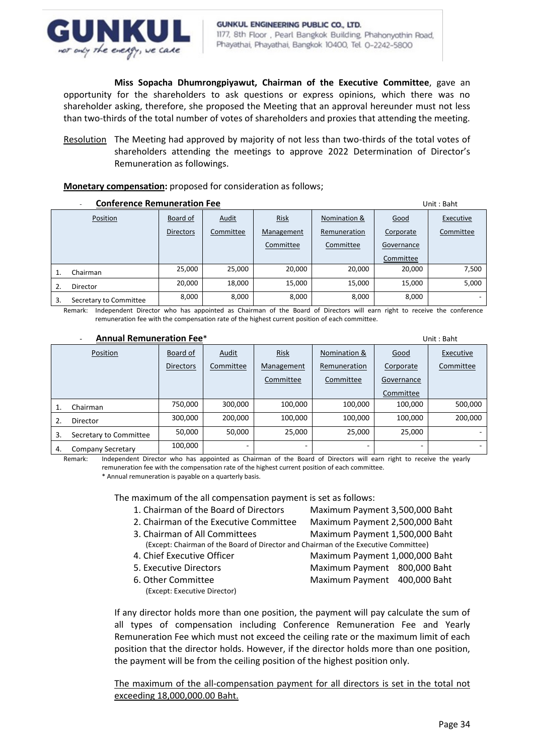

**Miss Sopacha Dhumrongpiyawut, Chairman of the Executive Committee**, gave an opportunity for the shareholders to ask questions or express opinions, which there was no shareholder asking, therefore, she proposed the Meeting that an approval hereunder must not less than two-thirds of the total number of votes of shareholders and proxies that attending the meeting.

Resolution The Meeting had approved by majority of not less than two-thirds of the total votes of shareholders attending the meetings to approve 2022 Determination of Director's Remuneration as followings.

## **Monetary compensation:** proposed for consideration as follows;

| <b>Conference Remuneration Fee</b> |                        |                  |              |             |              |            | Unit: Baht |
|------------------------------------|------------------------|------------------|--------------|-------------|--------------|------------|------------|
|                                    | Position               | Board of         | <b>Audit</b> | <b>Risk</b> | Nomination & | Good       | Executive  |
|                                    |                        | <b>Directors</b> | Committee    | Management  | Remuneration | Corporate  | Committee  |
|                                    |                        |                  |              | Committee   | Committee    | Governance |            |
|                                    |                        |                  |              |             |              | Committee  |            |
|                                    | Chairman               | 25,000           | 25,000       | 20,000      | 20,000       | 20,000     | 7,500      |
|                                    | Director               | 20,000           | 18,000       | 15,000      | 15,000       | 15,000     | 5,000      |
| 3.                                 | Secretary to Committee | 8,000            | 8,000        | 8,000       | 8,000        | 8,000      |            |

Remark: Independent Director who has appointed as Chairman of the Board of Directors will earn right to receive the conference remuneration fee with the compensation rate of the highest current position of each committee.

#### - **Annual Remuneration Fee**\*Unit : Baht

| -<br>Alliludi Nelliullei duvil Fee |                          |                  |           |            |              |            | UIIIL : Bant |
|------------------------------------|--------------------------|------------------|-----------|------------|--------------|------------|--------------|
|                                    | Position                 | Board of         | Audit     | Risk       | Nomination & | Good       | Executive    |
|                                    |                          | <b>Directors</b> | Committee | Management | Remuneration | Corporate  | Committee    |
|                                    |                          |                  |           | Committee  | Committee    | Governance |              |
|                                    |                          |                  |           |            |              | Committee  |              |
|                                    | Chairman                 | 750,000          | 300,000   | 100,000    | 100,000      | 100,000    | 500,000      |
|                                    | <b>Director</b>          | 300,000          | 200,000   | 100,000    | 100,000      | 100,000    | 200,000      |
| 3.                                 | Secretary to Committee   | 50.000           | 50,000    | 25,000     | 25.000       | 25,000     |              |
| 4.                                 | <b>Company Secretary</b> | 100,000          |           |            |              |            |              |

Remark: Independent Director who has appointed as Chairman of the Board of Directors will earn right to receive the yearly remuneration fee with the compensation rate of the highest current position of each committee.

\* Annual remuneration is payable on a quarterly basis.

The maximum of the all compensation payment is set as follows:

- 1. Chairman of the Board of Directors Maximum Payment 3,500,000 Baht
- 2. Chairman of the Executive Committee Maximum Payment 2,500,000 Baht
- 3. Chairman of All Committees Maximum Payment 1,500,000 Baht (Except: Chairman of the Board of Director and Chairman of the Executive Committee)
- 
- 
- - (Except: Executive Director)
- 
- 
- 

- 4. Chief Executive Officer Maximum Payment 1,000,000 Baht
- 5. Executive Directors Maximum Payment 800,000 Baht
- 6. Other Committee Maximum Payment 400,000 Baht

If any director holds more than one position, the payment will pay calculate the sum of all types of compensation including Conference Remuneration Fee and Yearly Remuneration Fee which must not exceed the ceiling rate or the maximum limit of each position that the director holds. However, if the director holds more than one position, the payment will be from the ceiling position of the highest position only.

The maximum of the all-compensation payment for all directors is set in the total not exceeding 18,000,000.00 Baht.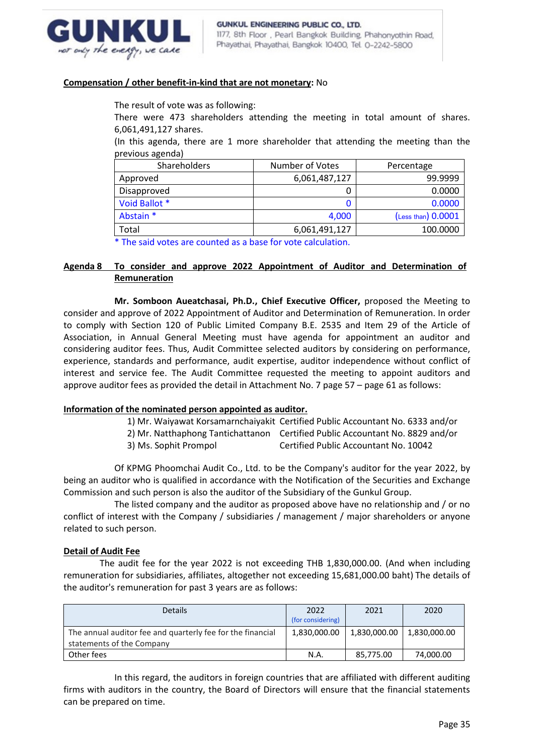

## **Compensation / other benefit-in-kind that are not monetary:** No

The result of vote was as following:

There were 473 shareholders attending the meeting in total amount of shares. 6,061,491,127 shares.

(In this agenda, there are 1 more shareholder that attending the meeting than the previous agenda)

| Shareholders  | Number of Votes | Percentage         |  |
|---------------|-----------------|--------------------|--|
| Approved      | 6,061,487,127   | 99.9999            |  |
| Disapproved   |                 | 0.0000             |  |
| Void Ballot * |                 | 0.0000             |  |
| Abstain *     | 4,000           | (Less than) 0.0001 |  |
| Total         | 6,061,491,127   | 100.0000           |  |

\* The said votes are counted as a base for vote calculation.

## **Agenda 8 To consider and approve 2022 Appointment of Auditor and Determination of Remuneration**

**Mr. Somboon Aueatchasai, Ph.D., Chief Executive Officer,** proposed the Meeting to consider and approve of 2022 Appointment of Auditor and Determination of Remuneration. In order to comply with Section 120 of Public Limited Company B.E. 2535 and Item 29 of the Article of Association, in Annual General Meeting must have agenda for appointment an auditor and considering auditor fees. Thus, Audit Committee selected auditors by considering on performance, experience, standards and performance, audit expertise, auditor independence without conflict of interest and service fee. The Audit Committee requested the meeting to appoint auditors and approve auditor fees as provided the detail in Attachment No. 7 page 57 – page 61 as follows:

## **Information of the nominated person appointed as auditor.**

1) Mr. Waiyawat Korsamarnchaiyakit Certified Public Accountant No. 6333 and/or

- 2) Mr. Natthaphong Tantichattanon Certified Public Accountant No. 8829 and/or
- 3) Ms. Sophit Prompol Certified Public Accountant No. 10042

Of KPMG Phoomchai Audit Co., Ltd. to be the Company's auditor for the year 2022, by being an auditor who is qualified in accordance with the Notification of the Securities and Exchange Commission and such person is also the auditor of the Subsidiary of the Gunkul Group.

The listed company and the auditor as proposed above have no relationship and / or no conflict of interest with the Company / subsidiaries / management / major shareholders or anyone related to such person.

## **Detail of Audit Fee**

 The audit fee for the year 2022 is not exceeding THB 1,830,000.00. (And when including remuneration for subsidiaries, affiliates, altogether not exceeding 15,681,000.00 baht) The details of the auditor's remuneration for past 3 years are as follows:

| <b>Details</b>                                             | 2022              | 2021         | 2020         |
|------------------------------------------------------------|-------------------|--------------|--------------|
|                                                            | (for considering) |              |              |
| The annual auditor fee and quarterly fee for the financial | 1,830,000.00      | 1,830,000.00 | 1,830,000.00 |
| statements of the Company                                  |                   |              |              |
| Other fees                                                 | N.A               | 85.775.00    | 74,000.00    |

In this regard, the auditors in foreign countries that are affiliated with different auditing firms with auditors in the country, the Board of Directors will ensure that the financial statements can be prepared on time.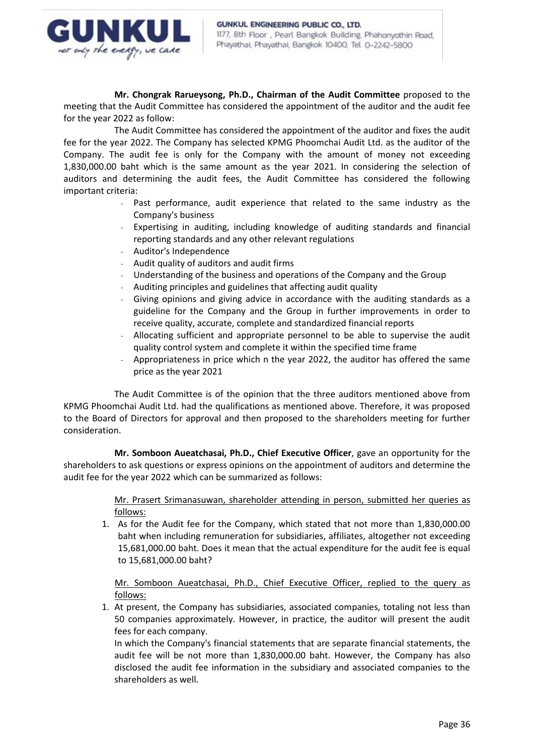

**Mr. Chongrak Rarueysong, Ph.D., Chairman of the Audit Committee** proposed to the meeting that the Audit Committee has considered the appointment of the auditor and the audit fee for the year 2022 as follow:

The Audit Committee has considered the appointment of the auditor and fixes the audit fee for the year 2022. The Company has selected KPMG Phoomchai Audit Ltd. as the auditor of the Company. The audit fee is only for the Company with the amount of money not exceeding 1,830,000.00 baht which is the same amount as the year 2021. In considering the selection of auditors and determining the audit fees, the Audit Committee has considered the following important criteria:

- Past performance, audit experience that related to the same industry as the Company's business
- Expertising in auditing, including knowledge of auditing standards and financial reporting standards and any other relevant regulations
- Auditor's Independence
- Audit quality of auditors and audit firms
- Understanding of the business and operations of the Company and the Group
- Auditing principles and guidelines that affecting audit quality
- Giving opinions and giving advice in accordance with the auditing standards as a guideline for the Company and the Group in further improvements in order to receive quality, accurate, complete and standardized financial reports
- Allocating sufficient and appropriate personnel to be able to supervise the audit quality control system and complete it within the specified time frame
- Appropriateness in price which n the year 2022, the auditor has offered the same price as the year 2021

The Audit Committee is of the opinion that the three auditors mentioned above from KPMG Phoomchai Audit Ltd. had the qualifications as mentioned above. Therefore, it was proposed to the Board of Directors for approval and then proposed to the shareholders meeting for further consideration.

**Mr. Somboon Aueatchasai, Ph.D., Chief Executive Officer**, gave an opportunity for the shareholders to ask questions or express opinions on the appointment of auditors and determine the audit fee for the year 2022 which can be summarized as follows:

> Mr. Prasert Srimanasuwan, shareholder attending in person, submitted her queries as follows:

1. As for the Audit fee for the Company, which stated that not more than 1,830,000.00 baht when including remuneration for subsidiaries, affiliates, altogether not exceeding 15,681,000.00 baht. Does it mean that the actual expenditure for the audit fee is equal to 15,681,000.00 baht?

Mr. Somboon Aueatchasai, Ph.D., Chief Executive Officer, replied to the query as follows:

1. At present, the Company has subsidiaries, associated companies, totaling not less than 50 companies approximately. However, in practice, the auditor will present the audit fees for each company.

In which the Company's financial statements that are separate financial statements, the audit fee will be not more than 1,830,000.00 baht. However, the Company has also disclosed the audit fee information in the subsidiary and associated companies to the shareholders as well.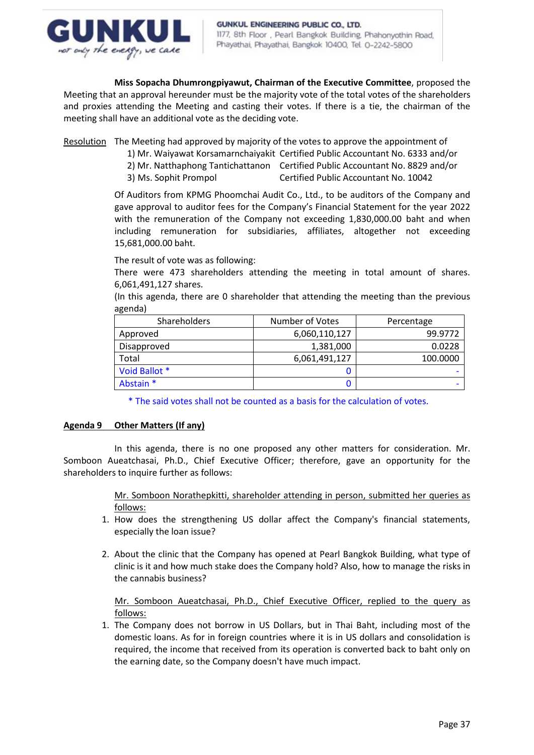

**Miss Sopacha Dhumrongpiyawut, Chairman of the Executive Committee**, proposed the Meeting that an approval hereunder must be the majority vote of the total votes of the shareholders and proxies attending the Meeting and casting their votes. If there is a tie, the chairman of the meeting shall have an additional vote as the deciding vote.

Resolution The Meeting had approved by majority of the votes to approve the appointment of

- 1) Mr. Waiyawat Korsamarnchaiyakit Certified Public Accountant No. 6333 and/or
	- 2) Mr. Natthaphong Tantichattanon Certified Public Accountant No. 8829 and/or
	- 3) Ms. Sophit Prompol Certified Public Accountant No. 10042

Of Auditors from KPMG Phoomchai Audit Co., Ltd., to be auditors of the Company and gave approval to auditor fees for the Company's Financial Statement for the year 2022 with the remuneration of the Company not exceeding 1,830,000.00 baht and when including remuneration for subsidiaries, affiliates, altogether not exceeding 15,681,000.00 baht.

The result of vote was as following:

There were 473 shareholders attending the meeting in total amount of shares. 6,061,491,127 shares.

(In this agenda, there are 0 shareholder that attending the meeting than the previous agenda)

| <b>Shareholders</b> | Number of Votes | Percentage |  |
|---------------------|-----------------|------------|--|
| Approved            | 6,060,110,127   | 99.9772    |  |
| Disapproved         | 1,381,000       | 0.0228     |  |
| Total               | 6,061,491,127   | 100.0000   |  |
| Void Ballot *       |                 |            |  |
| Abstain *           |                 |            |  |

\* The said votes shall not be counted as a basis for the calculation of votes.

## **Agenda 9 Other Matters (If any)**

In this agenda, there is no one proposed any other matters for consideration. Mr. Somboon Aueatchasai, Ph.D., Chief Executive Officer; therefore, gave an opportunity for the shareholders to inquire further as follows:

> Mr. Somboon Norathepkitti, shareholder attending in person, submitted her queries as follows:

- 1. How does the strengthening US dollar affect the Company's financial statements, especially the loan issue?
- 2. About the clinic that the Company has opened at Pearl Bangkok Building, what type of clinic is it and how much stake does the Company hold? Also, how to manage the risks in the cannabis business?

Mr. Somboon Aueatchasai, Ph.D., Chief Executive Officer, replied to the query as follows:

1. The Company does not borrow in US Dollars, but in Thai Baht, including most of the domestic loans. As for in foreign countries where it is in US dollars and consolidation is required, the income that received from its operation is converted back to baht only on the earning date, so the Company doesn't have much impact.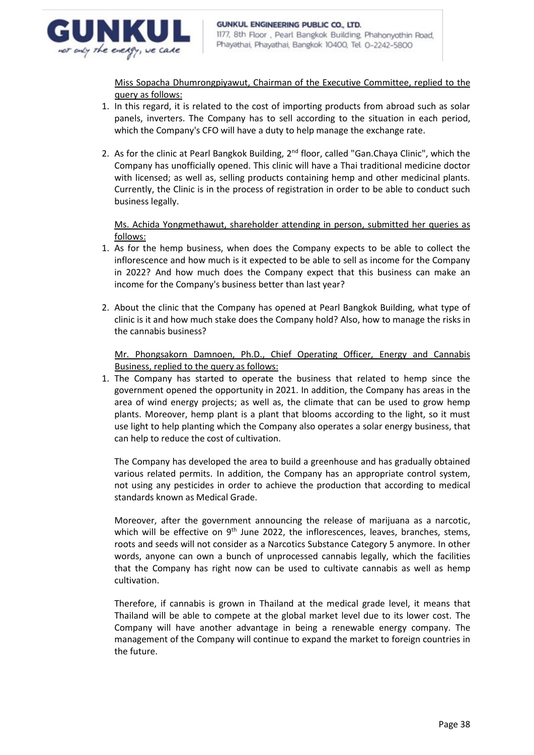

Miss Sopacha Dhumrongpiyawut, Chairman of the Executive Committee, replied to the query as follows:

- 1. In this regard, it is related to the cost of importing products from abroad such as solar panels, inverters. The Company has to sell according to the situation in each period, which the Company's CFO will have a duty to help manage the exchange rate.
- 2. As for the clinic at Pearl Bangkok Building, 2<sup>nd</sup> floor, called "Gan.Chaya Clinic", which the Company has unofficially opened. This clinic will have a Thai traditional medicine doctor with licensed; as well as, selling products containing hemp and other medicinal plants. Currently, the Clinic is in the process of registration in order to be able to conduct such business legally.

Ms. Achida Yongmethawut, shareholder attending in person, submitted her queries as follows:

- 1. As for the hemp business, when does the Company expects to be able to collect the inflorescence and how much is it expected to be able to sell as income for the Company in 2022? And how much does the Company expect that this business can make an income for the Company's business better than last year?
- 2. About the clinic that the Company has opened at Pearl Bangkok Building, what type of clinic is it and how much stake does the Company hold? Also, how to manage the risks in the cannabis business?

Mr. Phongsakorn Damnoen, Ph.D., Chief Operating Officer, Energy and Cannabis Business, replied to the query as follows:

1. The Company has started to operate the business that related to hemp since the government opened the opportunity in 2021. In addition, the Company has areas in the area of wind energy projects; as well as, the climate that can be used to grow hemp plants. Moreover, hemp plant is a plant that blooms according to the light, so it must use light to help planting which the Company also operates a solar energy business, that can help to reduce the cost of cultivation.

The Company has developed the area to build a greenhouse and has gradually obtained various related permits. In addition, the Company has an appropriate control system, not using any pesticides in order to achieve the production that according to medical standards known as Medical Grade.

Moreover, after the government announcing the release of marijuana as a narcotic, which will be effective on 9<sup>th</sup> June 2022, the inflorescences, leaves, branches, stems, roots and seeds will not consider as a Narcotics Substance Category 5 anymore. In other words, anyone can own a bunch of unprocessed cannabis legally, which the facilities that the Company has right now can be used to cultivate cannabis as well as hemp cultivation.

Therefore, if cannabis is grown in Thailand at the medical grade level, it means that Thailand will be able to compete at the global market level due to its lower cost. The Company will have another advantage in being a renewable energy company. The management of the Company will continue to expand the market to foreign countries in the future.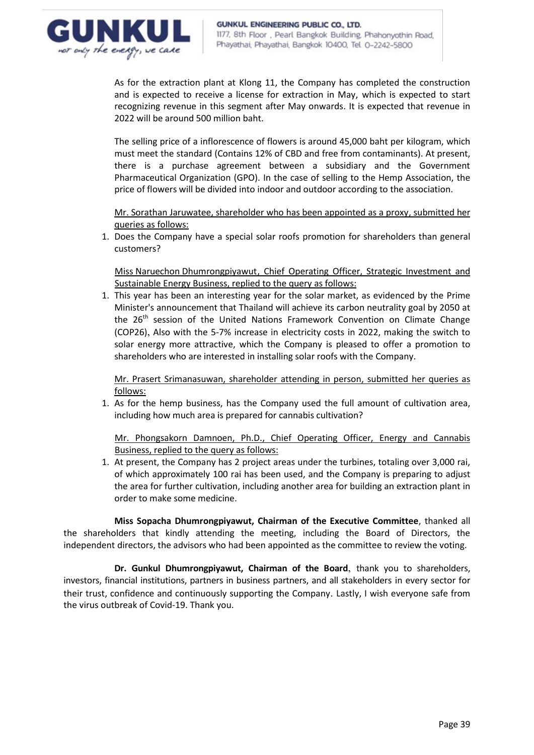

As for the extraction plant at Klong 11, the Company has completed the construction and is expected to receive a license for extraction in May, which is expected to start recognizing revenue in this segment after May onwards. It is expected that revenue in 2022 will be around 500 million baht.

The selling price of a inflorescence of flowers is around 45,000 baht per kilogram, which must meet the standard (Contains 12% of CBD and free from contaminants). At present, there is a purchase agreement between a subsidiary and the Government Pharmaceutical Organization (GPO). In the case of selling to the Hemp Association, the price of flowers will be divided into indoor and outdoor according to the association.

Mr. Sorathan Jaruwatee, shareholder who has been appointed as a proxy, submitted her queries as follows:

1. Does the Company have a special solar roofs promotion for shareholders than general customers?

Miss Naruechon Dhumrongpiyawut, Chief Operating Officer, Strategic Investment and Sustainable Energy Business, replied to the query as follows:

1. This year has been an interesting year for the solar market, as evidenced by the Prime Minister's announcement that Thailand will achieve its carbon neutrality goal by 2050 at the 26<sup>th</sup> session of the United Nations Framework Convention on Climate Change (COP26), Also with the 5-7% increase in electricity costs in 2022, making the switch to solar energy more attractive, which the Company is pleased to offer a promotion to shareholders who are interested in installing solar roofs with the Company.

Mr. Prasert Srimanasuwan, shareholder attending in person, submitted her queries as follows:

1. As for the hemp business, has the Company used the full amount of cultivation area, including how much area is prepared for cannabis cultivation?

Mr. Phongsakorn Damnoen, Ph.D., Chief Operating Officer, Energy and Cannabis Business, replied to the query as follows:

1. At present, the Company has 2 project areas under the turbines, totaling over 3,000 rai, of which approximately 100 rai has been used, and the Company is preparing to adjust the area for further cultivation, including another area for building an extraction plant in order to make some medicine.

**Miss Sopacha Dhumrongpiyawut, Chairman of the Executive Committee**, thanked all the shareholders that kindly attending the meeting, including the Board of Directors, the independent directors, the advisors who had been appointed as the committee to review the voting.

**Dr. Gunkul Dhumrongpiyawut, Chairman of the Board**, thank you to shareholders, investors, financial institutions, partners in business partners, and all stakeholders in every sector for their trust, confidence and continuously supporting the Company. Lastly, I wish everyone safe from the virus outbreak of Covid-19. Thank you.